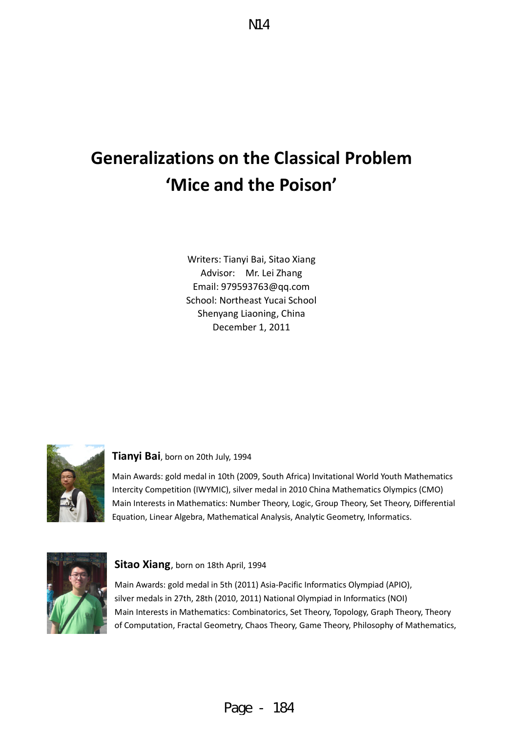# **Generalizations on the Classical Problem 'Mice and the Poison'**

Writers: Tianyi Bai, Sitao Xiang Advisor: Mr. Lei Zhang Email: 979593763@qq.com School: Northeast Yucai School Shenyang Liaoning, China December 1, 2011



#### **Tianyi Bai**, born on 20th July, 1994

Main Awards: gold medal in 10th (2009, South Africa) Invitational World Youth Mathematics Intercity Competition (IWYMIC), silver medal in 2010 China Mathematics Olympics (CMO) Main Interests in Mathematics: Number Theory, Logic, Group Theory, Set Theory, Differential Equation, Linear Algebra, Mathematical Analysis, Analytic Geometry, Informatics.



#### **Sitao Xiang**, born on 18th April, 1994

Main Awards: gold medal in 5th (2011) Asia-Pacific Informatics Olympiad (APIO), silver medals in 27th, 28th (2010, 2011) National Olympiad in Informatics (NOI) Main Interests in Mathematics: Combinatorics, Set Theory, Topology, Graph Theory, Theory of Computation, Fractal Geometry, Chaos Theory, Game Theory, Philosophy of Mathematics,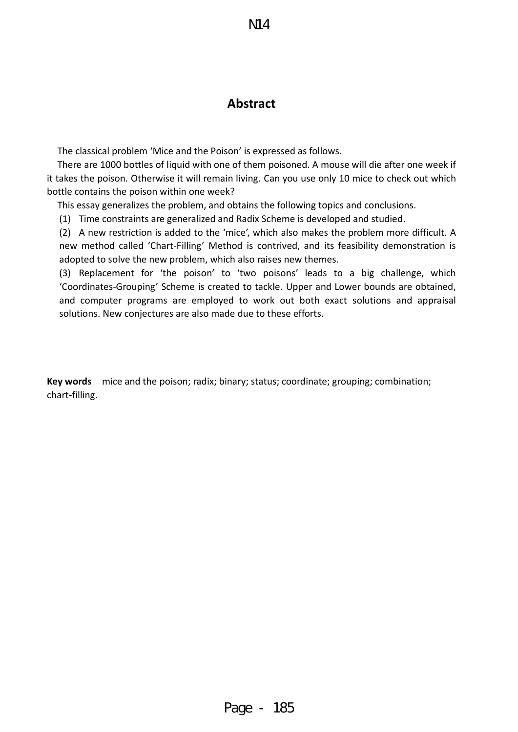## **Abstract**

The classical problem 'Mice and the Poison' is expressed as follows.

There are 1000 bottles of liquid with one of them poisoned. A mouse will die after one week if it takes the poison. Otherwise it will remain living. Can you use only 10 mice to check out which bottle contains the poison within one week?

This essay generalizes the problem, and obtains the following topics and conclusions.

(1) Time constraints are generalized and Radix Scheme is developed and studied.

(2) A new restriction is added to the 'mice', which also makes the problem more difficult. A new method called 'Chart-Filling' Method is contrived, and its feasibility demonstration is adopted to solve the new problem, which also raises new themes.

(3) Replacement for 'the poison' to 'two poisons' leads to a big challenge, which 'Coordinates-Grouping' Scheme is created to tackle. Upper and Lower bounds are obtained, and computer programs are employed to work out both exact solutions and appraisal solutions. New conjectures are also made due to these efforts.

**Key words** mice and the poison; radix; binary; status; coordinate; grouping; combination; chart-filling.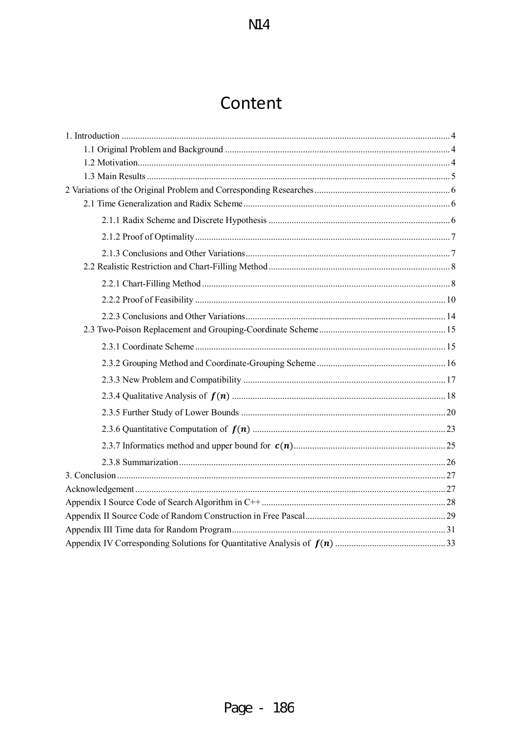## Content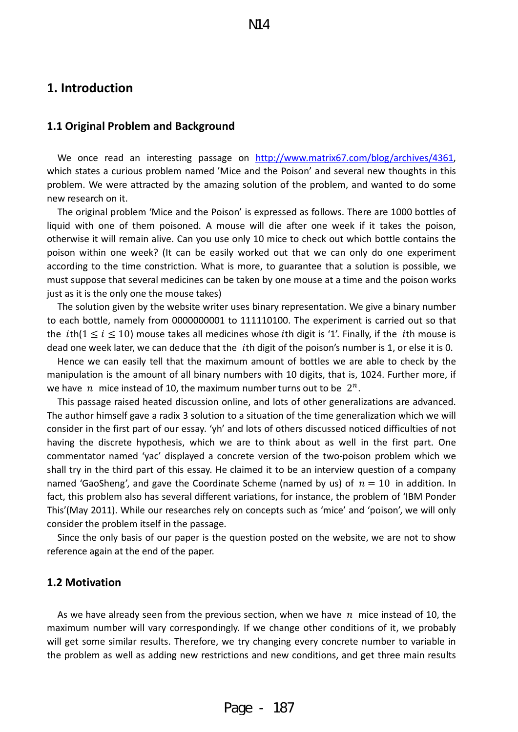### <span id="page-3-0"></span>**1. Introduction**

#### <span id="page-3-1"></span>**1.1 Original Problem and Background**

We once read an interesting passage on [http://www.matrix67.com/blog/archives/4361,](http://www.matrix67.com/blog/archives/4361) which states a curious problem named 'Mice and the Poison' and several new thoughts in this problem. We were attracted by the amazing solution of the problem, and wanted to do some new research on it.

 The original problem 'Mice and the Poison' is expressed as follows. There are 1000 bottles of liquid with one of them poisoned. A mouse will die after one week if it takes the poison, otherwise it will remain alive. Can you use only 10 mice to check out which bottle contains the poison within one week? (It can be easily worked out that we can only do one experiment according to the time constriction. What is more, to guarantee that a solution is possible, we must suppose that several medicines can be taken by one mouse at a time and the poison works just as it is the only one the mouse takes)

The solution given by the website writer uses binary representation. We give a binary number to each bottle, namely from 0000000001 to 111110100. The experiment is carried out so that the *i*th( $1 \le i \le 10$ ) mouse takes all medicines whose *i*th digit is '1'. Finally, if the *i*th mouse is dead one week later, we can deduce that the *i*th digit of the poison's number is 1, or else it is 0.

 Hence we can easily tell that the maximum amount of bottles we are able to check by the manipulation is the amount of all binary numbers with 10 digits, that is, 1024. Further more, if we have *n* mice instead of 10, the maximum number turns out to be  $2^n$ .

This passage raised heated discussion online, and lots of other generalizations are advanced. The author himself gave a radix 3 solution to a situation of the time generalization which we will consider in the first part of our essay. 'yh' and lots of others discussed noticed difficulties of not having the discrete hypothesis, which we are to think about as well in the first part. One commentator named 'yac' displayed a concrete version of the two-poison problem which we shall try in the third part of this essay. He claimed it to be an interview question of a company named 'GaoSheng', and gave the Coordinate Scheme (named by us) of  $n = 10$  in addition. In fact, this problem also has several different variations, for instance, the problem of 'IBM Ponder This'(May 2011). While our researches rely on concepts such as 'mice' and 'poison', we will only consider the problem itself in the passage.

Since the only basis of our paper is the question posted on the website, we are not to show reference again at the end of the paper.

#### <span id="page-3-2"></span>**1.2 Motivation**

As we have already seen from the previous section, when we have  $n$  mice instead of 10, the maximum number will vary correspondingly. If we change other conditions of it, we probably will get some similar results. Therefore, we try changing every concrete number to variable in the problem as well as adding new restrictions and new conditions, and get three main results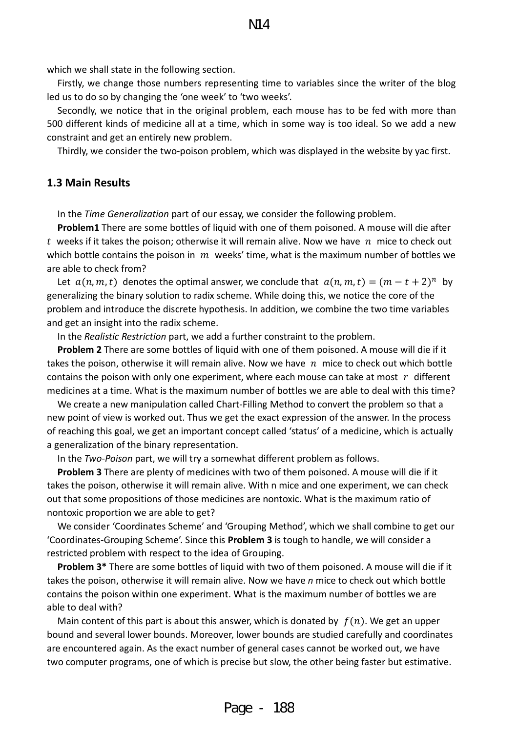which we shall state in the following section.

Firstly, we change those numbers representing time to variables since the writer of the blog led us to do so by changing the 'one week' to 'two weeks'.

Secondly, we notice that in the original problem, each mouse has to be fed with more than 500 different kinds of medicine all at a time, which in some way is too ideal. So we add a new constraint and get an entirely new problem.

<span id="page-4-0"></span>Thirdly, we consider the two-poison problem, which was displayed in the website by yac first.

#### **1.3 Main Results**

In the *Time Generalization* part of our essay, we consider the following problem.

**Problem1** There are some bottles of liquid with one of them poisoned. A mouse will die after t weeks if it takes the poison; otherwise it will remain alive. Now we have  $n$  mice to check out which bottle contains the poison in  $m$  weeks' time, what is the maximum number of bottles we are able to check from?

Let  $a(n, m, t)$  denotes the optimal answer, we conclude that  $a(n, m, t) = (m - t + 2)^n$  by generalizing the binary solution to radix scheme. While doing this, we notice the core of the problem and introduce the discrete hypothesis. In addition, we combine the two time variables and get an insight into the radix scheme.

In the *Realistic Restriction* part, we add a further constraint to the problem.

**Problem 2** There are some bottles of liquid with one of them poisoned. A mouse will die if it takes the poison, otherwise it will remain alive. Now we have  $n$  mice to check out which bottle contains the poison with only one experiment, where each mouse can take at most  $r$  different medicines at a time. What is the maximum number of bottles we are able to deal with this time?

We create a new manipulation called Chart-Filling Method to convert the problem so that a new point of view is worked out. Thus we get the exact expression of the answer. In the process of reaching this goal, we get an important concept called 'status' of a medicine, which is actually a generalization of the binary representation.

In the *Two-Poison* part, we will try a somewhat different problem as follows.

**Problem 3** There are plenty of medicines with two of them poisoned. A mouse will die if it takes the poison, otherwise it will remain alive. With n mice and one experiment, we can check out that some propositions of those medicines are nontoxic. What is the maximum ratio of nontoxic proportion we are able to get?

We consider 'Coordinates Scheme' and 'Grouping Method', which we shall combine to get our 'Coordinates-Grouping Scheme'. Since this **Problem 3** is tough to handle, we will consider a restricted problem with respect to the idea of Grouping.

**Problem 3\*** There are some bottles of liquid with two of them poisoned. A mouse will die if it takes the poison, otherwise it will remain alive. Now we have *n* mice to check out which bottle contains the poison within one experiment. What is the maximum number of bottles we are able to deal with?

Main content of this part is about this answer, which is donated by  $f(n)$ . We get an upper bound and several lower bounds. Moreover, lower bounds are studied carefully and coordinates are encountered again. As the exact number of general cases cannot be worked out, we have two computer programs, one of which is precise but slow, the other being faster but estimative.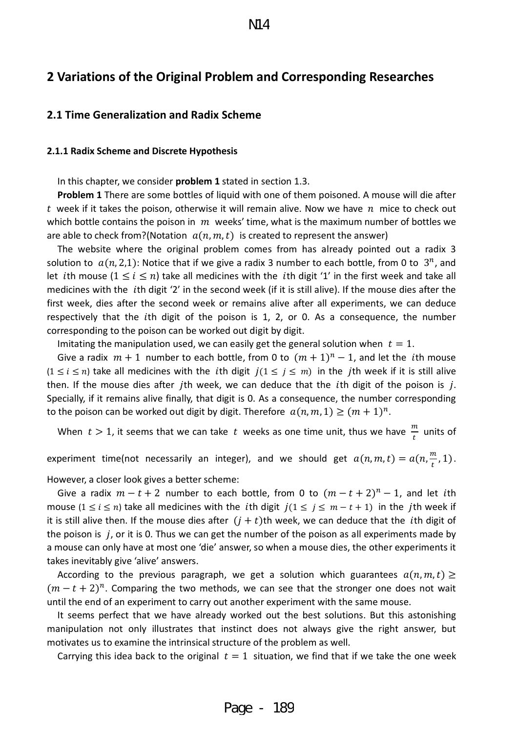## <span id="page-5-0"></span>**2 Variations of the Original Problem and Corresponding Researches**

#### <span id="page-5-1"></span>**2.1 Time Generalization and Radix Scheme**

#### <span id="page-5-2"></span>**2.1.1 Radix Scheme and Discrete Hypothesis**

In this chapter, we consider **problem 1** stated in section 1.3.

**Problem 1** There are some bottles of liquid with one of them poisoned. A mouse will die after t week if it takes the poison, otherwise it will remain alive. Now we have  $n$  mice to check out which bottle contains the poison in  $m$  weeks' time, what is the maximum number of bottles we are able to check from?(Notation  $a(n, m, t)$  is created to represent the answer)

The website where the original problem comes from has already pointed out a radix 3 solution to  $a(n, 2, 1)$ : Notice that if we give a radix 3 number to each bottle, from 0 to  $3<sup>n</sup>$ , and let *i*th mouse  $(1 \le i \le n)$  take all medicines with the *i*th digit '1' in the first week and take all medicines with the *i*th digit '2' in the second week (if it is still alive). If the mouse dies after the first week, dies after the second week or remains alive after all experiments, we can deduce respectively that the *i*th digit of the poison is 1, 2, or 0. As a consequence, the number corresponding to the poison can be worked out digit by digit.

Imitating the manipulation used, we can easily get the general solution when  $t = 1$ .

Give a radix  $m + 1$  number to each bottle, from 0 to  $(m + 1)^n - 1$ , and let the *i*th mouse  $(1 \le i \le n)$  take all medicines with the *i*th digit  $j(1 \le j \le m)$  in the *j*th week if it is still alive then. If the mouse dies after *j*th week, we can deduce that the *i*th digit of the poison is *j*. Specially, if it remains alive finally, that digit is 0. As a consequence, the number corresponding to the poison can be worked out digit by digit. Therefore  $a(n, m, 1) \ge (m + 1)^n$ .

When  $t > 1$ , it seems that we can take  $t$  weeks as one time unit, thus we have  $\frac{m}{t}$  units of

experiment time(not necessarily an integer), and we should get  $a(n, m, t) = a(n, \frac{m}{t}, 1)$ .

However, a closer look gives a better scheme:

Give a radix  $m - t + 2$  number to each bottle, from 0 to  $(m - t + 2)^n - 1$ , and let *i*th mouse ( $1 \le i \le n$ ) take all medicines with the *i*th digit  $j(1 \le j \le m-t+1)$  in the *j*th week if it is still alive then. If the mouse dies after  $(j + t)$ th week, we can deduce that the *i*th digit of the poison is  $j$ , or it is 0. Thus we can get the number of the poison as all experiments made by a mouse can only have at most one 'die' answer, so when a mouse dies, the other experiments it takes inevitably give 'alive' answers.

According to the previous paragraph, we get a solution which guarantees  $a(n, m, t) \ge$  $(m - t + 2)^n$ . Comparing the two methods, we can see that the stronger one does not wait until the end of an experiment to carry out another experiment with the same mouse.

It seems perfect that we have already worked out the best solutions. But this astonishing manipulation not only illustrates that instinct does not always give the right answer, but motivates us to examine the intrinsical structure of the problem as well.

Carrying this idea back to the original  $t = 1$  situation, we find that if we take the one week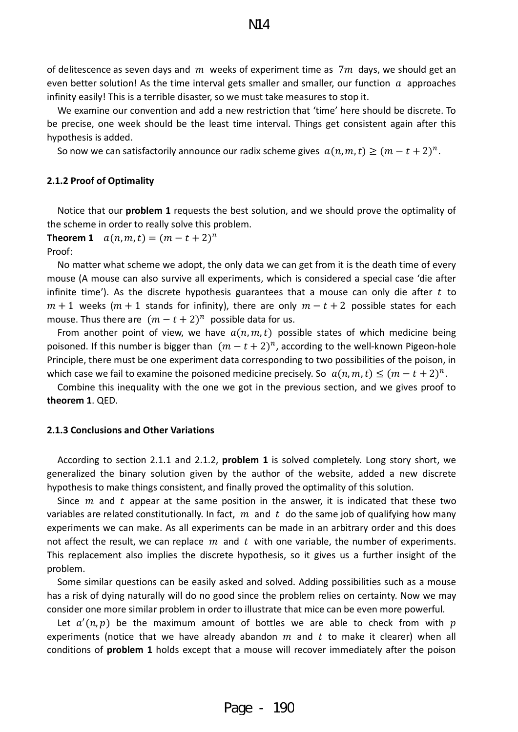of delitescence as seven days and m weeks of experiment time as  $7m$  days, we should get an even better solution! As the time interval gets smaller and smaller, our function  $\alpha$  approaches infinity easily! This is a terrible disaster, so we must take measures to stop it.

We examine our convention and add a new restriction that 'time' here should be discrete. To be precise, one week should be the least time interval. Things get consistent again after this hypothesis is added.

<span id="page-6-0"></span>So now we can satisfactorily announce our radix scheme gives  $a(n, m, t) \ge (m - t + 2)^n$ .

#### **2.1.2 Proof of Optimality**

Notice that our **problem 1** requests the best solution, and we should prove the optimality of the scheme in order to really solve this problem.

**Theorem 1**  $a(n, m, t) = (m - t + 2)^n$ Proof:

No matter what scheme we adopt, the only data we can get from it is the death time of every mouse (A mouse can also survive all experiments, which is considered a special case 'die after infinite time'). As the discrete hypothesis guarantees that a mouse can only die after  $t$  to  $m + 1$  weeks ( $m + 1$  stands for infinity), there are only  $m - t + 2$  possible states for each mouse. Thus there are  $(m - t + 2)^n$  possible data for us.

From another point of view, we have  $a(n, m, t)$  possible states of which medicine being poisoned. If this number is bigger than  $(m - t + 2)^n$ , according to the well-known Pigeon-hole Principle, there must be one experiment data corresponding to two possibilities of the poison, in which case we fail to examine the poisoned medicine precisely. So  $a(n, m, t) \le (m - t + 2)^n$ .

Combine this inequality with the one we got in the previous section, and we gives proof to **theorem 1**. QED.

#### <span id="page-6-1"></span>**2.1.3 Conclusions and Other Variations**

 According to section 2.1.1 and 2.1.2, **problem 1** is solved completely. Long story short, we generalized the binary solution given by the author of the website, added a new discrete hypothesis to make things consistent, and finally proved the optimality of this solution.

Since  $m$  and  $t$  appear at the same position in the answer, it is indicated that these two variables are related constitutionally. In fact,  $m$  and  $t$  do the same job of qualifying how many experiments we can make. As all experiments can be made in an arbitrary order and this does not affect the result, we can replace  $m$  and  $t$  with one variable, the number of experiments. This replacement also implies the discrete hypothesis, so it gives us a further insight of the problem.

 Some similar questions can be easily asked and solved. Adding possibilities such as a mouse has a risk of dying naturally will do no good since the problem relies on certainty. Now we may consider one more similar problem in order to illustrate that mice can be even more powerful.

Let  $a'(n,p)$  be the maximum amount of bottles we are able to check from with  $p$ experiments (notice that we have already abandon  $m$  and  $t$  to make it clearer) when all conditions of **problem 1** holds except that a mouse will recover immediately after the poison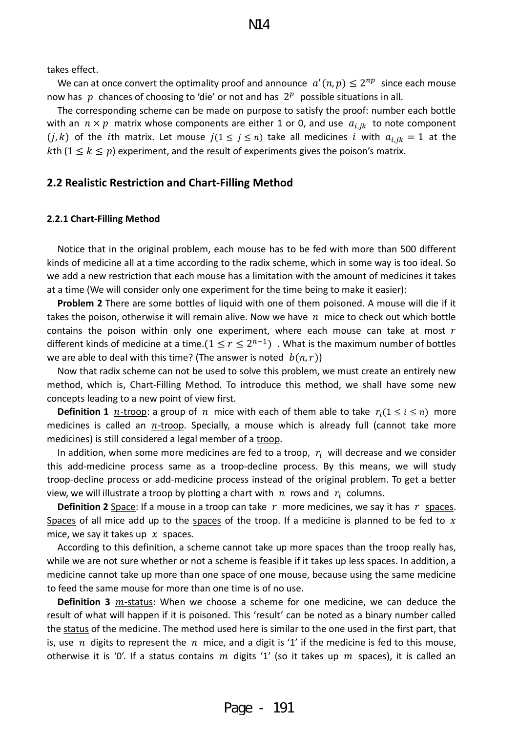takes effect.

We can at once convert the optimality proof and announce  $a'(n,p) \leq 2^{np}$  since each mouse now has  $p$  chances of choosing to 'die' or not and has  $2<sup>p</sup>$  possible situations in all.

 The corresponding scheme can be made on purpose to satisfy the proof: number each bottle with an  $n \times p$  matrix whose components are either 1 or 0, and use  $a_{i,jk}$  to note component  $(j, k)$  of the *i*th matrix. Let mouse  $j(1 \leq j \leq n)$  take all medicines *i* with  $a_{i, jk} = 1$  at the kth  $(1 \le k \le p)$  experiment, and the result of experiments gives the poison's matrix.

#### <span id="page-7-0"></span>**2.2 Realistic Restriction and Chart-Filling Method**

#### <span id="page-7-1"></span>**2.2.1 Chart-Filling Method**

Notice that in the original problem, each mouse has to be fed with more than 500 different kinds of medicine all at a time according to the radix scheme, which in some way is too ideal. So we add a new restriction that each mouse has a limitation with the amount of medicines it takes at a time (We will consider only one experiment for the time being to make it easier):

**Problem 2** There are some bottles of liquid with one of them poisoned. A mouse will die if it takes the poison, otherwise it will remain alive. Now we have  $n$  mice to check out which bottle contains the poison within only one experiment, where each mouse can take at most  $r$ different kinds of medicine at a time.( $1 \le r \le 2^{n-1}$ ) . What is the maximum number of bottles we are able to deal with this time? (The answer is noted  $(b(n, r))$ )

 Now that radix scheme can not be used to solve this problem, we must create an entirely new method, which is, Chart-Filling Method. To introduce this method, we shall have some new concepts leading to a new point of view first.

**Definition 1** *n*-troop: a group of *n* mice with each of them able to take  $r_i(1 \le i \le n)$  more medicines is called an  $n$ -troop. Specially, a mouse which is already full (cannot take more medicines) is still considered a legal member of a troop.

In addition, when some more medicines are fed to a troop,  $r_i$  will decrease and we consider this add-medicine process same as a troop-decline process. By this means, we will study troop-decline process or add-medicine process instead of the original problem. To get a better view, we will illustrate a troop by plotting a chart with  $n$  rows and  $r_i$  columns.

**Definition 2** Space: If a mouse in a troop can take  $r$  more medicines, we say it has  $r$  spaces. Spaces of all mice add up to the spaces of the troop. If a medicine is planned to be fed to  $x$ mice, we say it takes up  $x$  spaces.

 According to this definition, a scheme cannot take up more spaces than the troop really has, while we are not sure whether or not a scheme is feasible if it takes up less spaces. In addition, a medicine cannot take up more than one space of one mouse, because using the same medicine to feed the same mouse for more than one time is of no use.

**Definition 3**  $m$ -status: When we choose a scheme for one medicine, we can deduce the result of what will happen if it is poisoned. This 'result' can be noted as a binary number called the status of the medicine. The method used here is similar to the one used in the first part, that is, use  $n$  digits to represent the  $n$  mice, and a digit is '1' if the medicine is fed to this mouse, otherwise it is '0'. If a status contains m digits '1' (so it takes up  $m$  spaces), it is called an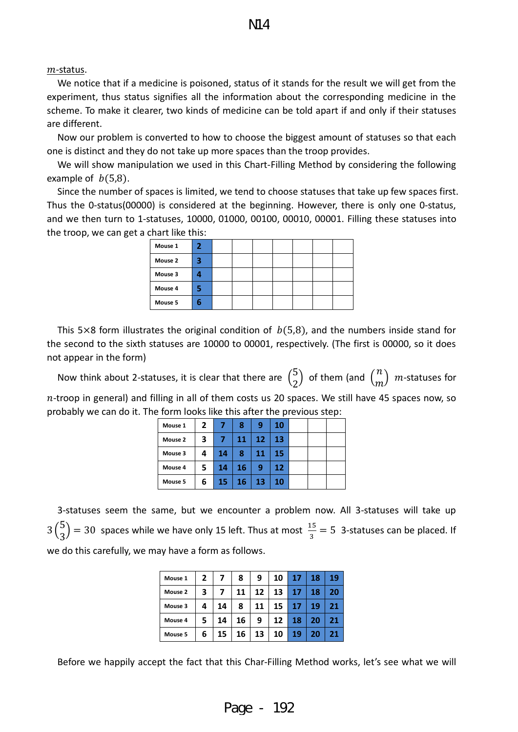#### $m$ -status.

We notice that if a medicine is poisoned, status of it stands for the result we will get from the experiment, thus status signifies all the information about the corresponding medicine in the scheme. To make it clearer, two kinds of medicine can be told apart if and only if their statuses are different.

Now our problem is converted to how to choose the biggest amount of statuses so that each one is distinct and they do not take up more spaces than the troop provides.

We will show manipulation we used in this Chart-Filling Method by considering the following example of  $b(5,8)$ .

Since the number of spaces is limited, we tend to choose statuses that take up few spaces first. Thus the 0-status(00000) is considered at the beginning. However, there is only one 0-status, and we then turn to 1-statuses, 10000, 01000, 00100, 00010, 00001. Filling these statuses into the troop, we can get a chart like this:

| Mouse 1 | 2 |  |  |  |  |
|---------|---|--|--|--|--|
| Mouse 2 | 3 |  |  |  |  |
| Mouse 3 |   |  |  |  |  |
| Mouse 4 |   |  |  |  |  |
| Mouse 5 | ь |  |  |  |  |

This 5×8 form illustrates the original condition of  $b(5,8)$ , and the numbers inside stand for the second to the sixth statuses are 10000 to 00001, respectively. (The first is 00000, so it does not appear in the form)

Now think about 2-statuses, it is clear that there are  $\binom{5}{2}$  $\binom{5}{2}$  of them (and  $\binom{n}{m}$  *m*-statuses for  $n$ -troop in general) and filling in all of them costs us 20 spaces. We still have 45 spaces now, so probably we can do it. The form looks like this after the previous step:

| Mouse 1 | 2 |    | 8  | 9  | 10 |  |  |
|---------|---|----|----|----|----|--|--|
| Mouse 2 | 3 |    | 11 | 12 | 13 |  |  |
| Mouse 3 | 4 | 14 | 8  | 11 | 15 |  |  |
| Mouse 4 | 5 | 14 | 16 | 9  | 12 |  |  |
| Mouse 5 | 6 | 15 | 16 | 13 | 10 |  |  |

3-statuses seem the same, but we encounter a problem now. All 3-statuses will take up  $3\binom{5}{3}$  $\binom{5}{3}$  = 30 spaces while we have only 15 left. Thus at most  $\frac{15}{3}$  = 5 3-statuses can be placed. If we do this carefully, we may have a form as follows.

| Mouse 1 | 2 | 7  | 8  | 9  | 10 | 17 | 18 | 19 |
|---------|---|----|----|----|----|----|----|----|
| Mouse 2 | 3 |    | 11 | 12 | 13 | 17 | 18 | 20 |
| Mouse 3 | 4 | 14 | 8  | 11 | 15 | 17 | 19 | 21 |
| Mouse 4 | 5 | 14 | 16 | 9  | 12 | 18 | 20 | 21 |
| Mouse 5 | 6 | 15 | 16 | 13 | 10 | 19 | 20 | 21 |

Before we happily accept the fact that this Char-Filling Method works, let's see what we will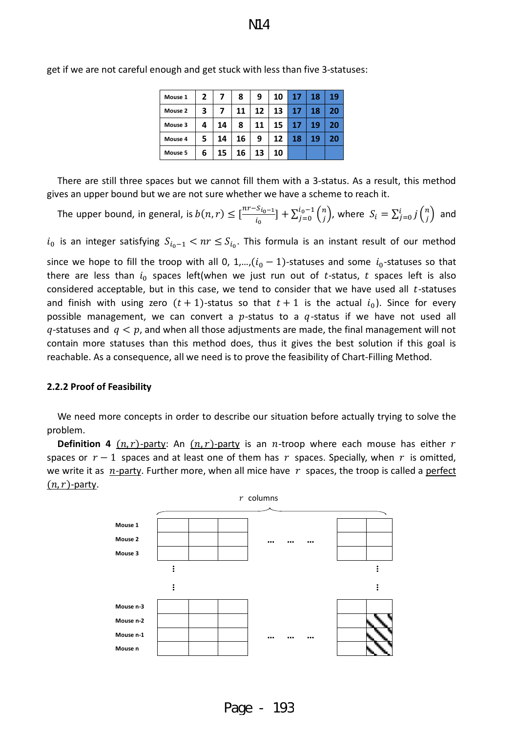| Mouse 1 | $\mathbf{2}$ | 7  | 8  | 9  | 10 | 17 | 18 | 19 |
|---------|--------------|----|----|----|----|----|----|----|
| Mouse 2 | 3            | 7  | 11 | 12 | 13 | 17 | 18 | 20 |
| Mouse 3 | 4            | 14 | 8  | 11 | 15 | 17 | 19 | 20 |
| Mouse 4 | 5.           | 14 | 16 | 9  | 12 | 18 | 19 | 20 |
| Mouse 5 | 6            | 15 | 16 | 13 | 10 |    |    |    |

get if we are not careful enough and get stuck with less than five 3-statuses:

There are still three spaces but we cannot fill them with a 3-status. As a result, this method gives an upper bound but we are not sure whether we have a scheme to reach it.

The upper bound, in general, is  $b(n,r) \leq [\frac{nr - s_{i_0 - 1}}{l_0}]$  $[\frac{S_{i_0-1}}{i_0}]+\sum_{j=0}^{l_0-1} {n \choose j}$ , where  $S_i = \sum_{j=0}^{i} j {n \choose j}$  and

 $i_0$  is an integer satisfying  $S_{i_0-1} < nr \leq S_{i_0}$ . This formula is an instant result of our method

since we hope to fill the troop with all 0, 1,..., $(i_0 - 1)$ -statuses and some  $i_0$ -statuses so that there are less than  $i_0$  spaces left(when we just run out of t-status, t spaces left is also considered acceptable, but in this case, we tend to consider that we have used all  $t$ -statuses and finish with using zero  $(t + 1)$ -status so that  $t + 1$  is the actual  $i_0$ ). Since for every possible management, we can convert a  $p$ -status to a  $q$ -status if we have not used all  $q$ -statuses and  $q < p$ , and when all those adjustments are made, the final management will not contain more statuses than this method does, thus it gives the best solution if this goal is reachable. As a consequence, all we need is to prove the feasibility of Chart-Filling Method.

#### <span id="page-9-0"></span>**2.2.2 Proof of Feasibility**

We need more concepts in order to describe our situation before actually trying to solve the problem.

**Definition 4**  $(n, r)$ -party: An  $(n, r)$ -party is an *n*-troop where each mouse has either *r* spaces or  $r - 1$  spaces and at least one of them has r spaces. Specially, when r is omitted, we write it as  $n$ -party. Further more, when all mice have  $r$  spaces, the troop is called a perfect  $(n, r)$ -party.



Page - 193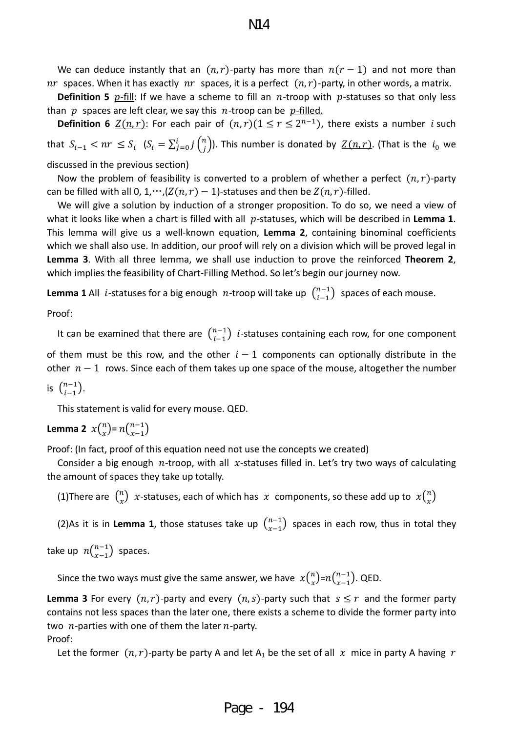N14

We can deduce instantly that an  $(n, r)$ -party has more than  $n(r - 1)$  and not more than  $nr$  spaces. When it has exactly  $nr$  spaces, it is a perfect  $(n, r)$ -party, in other words, a matrix.

**Definition 5**  $p$ -fill: If we have a scheme to fill an  $n$ -troop with  $p$ -statuses so that only less than  $p$  spaces are left clear, we say this  $n$ -troop can be  $p$ -filled.

**Definition 6**  $\underline{Z(n,r)}$ : For each pair of  $(n, r)$  $(1 \le r \le 2^{n-1})$ , there exists a number *i* such that  $S_{i-1} < nr \leq S_i$   $(S_i = \sum_{j=0}^i j{n \choose j})$ . This number is donated by  $Z(n,r)$ . (That is the  $i_0$  we

discussed in the previous section)

Now the problem of feasibility is converted to a problem of whether a perfect  $(n, r)$ -party can be filled with all 0, 1,…, $(Z(n, r) - 1)$ -statuses and then be  $Z(n, r)$ -filled.

We will give a solution by induction of a stronger proposition. To do so, we need a view of what it looks like when a chart is filled with all  $p$ -statuses, which will be described in **Lemma 1**. This lemma will give us a well-known equation, **Lemma 2**, containing binominal coefficients which we shall also use. In addition, our proof will rely on a division which will be proved legal in **Lemma 3**. With all three lemma, we shall use induction to prove the reinforced **Theorem 2**, which implies the feasibility of Chart-Filling Method. So let's begin our journey now.

**Lemma 1** All *i*-statuses for a big enough  $n$ -troop will take up  $\binom{n-1}{i-1}$  spaces of each mouse.

Proof:

It can be examined that there are  $\binom{n-1}{i-1}$  *i*-statuses containing each row, for one component

of them must be this row, and the other  $i - 1$  components can optionally distribute in the other  $n - 1$  rows. Since each of them takes up one space of the mouse, altogether the number

is  $\binom{n-1}{i-1}$ .

This statement is valid for every mouse. QED.

**Lemma 2**  $x\binom{n}{x} = n\binom{n-1}{x-1}$ 

Proof: (In fact, proof of this equation need not use the concepts we created)

Consider a big enough  $n$ -troop, with all  $x$ -statuses filled in. Let's try two ways of calculating the amount of spaces they take up totally.

(1)There are  $\binom{n}{x}$  x-statuses, each of which has  $x$  components, so these add up to  $x\binom{n}{x}$ 

(2)As it is in **Lemma 1**, those statuses take up  $\binom{n-1}{x-1}$  spaces in each row, thus in total they

take up  $n {n-1 \choose x-1}$  spaces.

Since the two ways must give the same answer, we have  $x\binom{n}{x}$ = $n\binom{n-1}{x-1}$ . QED.

**Lemma 3** For every  $(n, r)$ -party and every  $(n, s)$ -party such that  $s \leq r$  and the former party contains not less spaces than the later one, there exists a scheme to divide the former party into two  $n$ -parties with one of them the later  $n$ -party. Proof:

Let the former  $(n, r)$ -party be party A and let A<sub>1</sub> be the set of all x mice in party A having r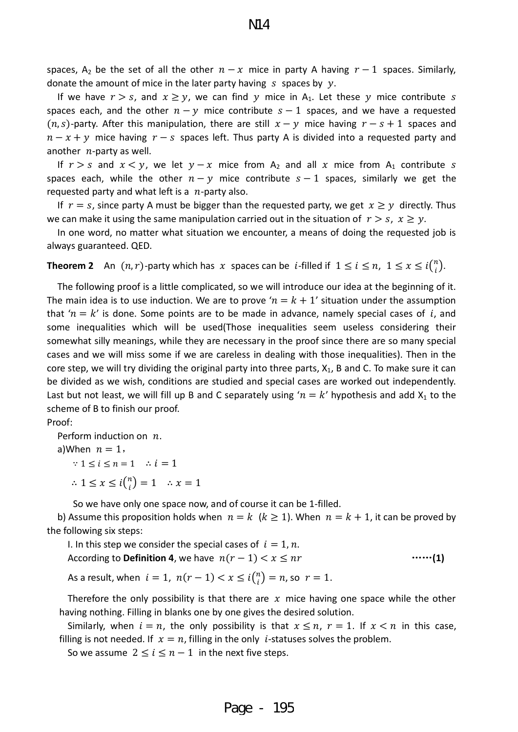spaces, A<sub>2</sub> be the set of all the other  $n - x$  mice in party A having  $r - 1$  spaces. Similarly, donate the amount of mice in the later party having  $s$  spaces by  $y$ .

If we have  $r > s$ , and  $x \ge y$ , we can find y mice in A<sub>1</sub>. Let these y mice contribute s spaces each, and the other  $n - y$  mice contribute  $s - 1$  spaces, and we have a requested  $(n, s)$ -party. After this manipulation, there are still  $x - y$  mice having  $r - s + 1$  spaces and  $n - x + y$  mice having  $r - s$  spaces left. Thus party A is divided into a requested party and another  $n$ -party as well.

If  $r > s$  and  $x < y$ , we let  $y - x$  mice from  $A_2$  and all x mice from  $A_1$  contribute s spaces each, while the other  $n - y$  mice contribute  $s - 1$  spaces, similarly we get the requested party and what left is a  $n$ -party also.

If  $r = s$ , since party A must be bigger than the requested party, we get  $x \geq y$  directly. Thus we can make it using the same manipulation carried out in the situation of  $r > s$ ,  $x \ge y$ .

 In one word, no matter what situation we encounter, a means of doing the requested job is always guaranteed. QED.

**Theorem 2** An  $(n, r)$ -party which has  $x$  spaces can be *i*-filled if  $1 \le i \le n$ ,  $1 \le x \le i{n \choose i}$ .

 The following proof is a little complicated, so we will introduce our idea at the beginning of it. The main idea is to use induction. We are to prove ' $n = k + 1$ ' situation under the assumption that ' $n = k'$  is done. Some points are to be made in advance, namely special cases of i, and some inequalities which will be used(Those inequalities seem useless considering their somewhat silly meanings, while they are necessary in the proof since there are so many special cases and we will miss some if we are careless in dealing with those inequalities). Then in the core step, we will try dividing the original party into three parts,  $X_1$ , B and C. To make sure it can be divided as we wish, conditions are studied and special cases are worked out independently. Last but not least, we will fill up B and C separately using ' $n = k'$  hypothesis and add  $X_1$  to the scheme of B to finish our proof.

Proof:

Perform induction on  $n$ . a)When  $n = 1$ ,

 $\therefore 1 \leq i \leq n = 1$   $\therefore i = 1$ 

 $\therefore 1 \leq x \leq i{n \choose i} = 1 \quad \therefore x = 1$ 

So we have only one space now, and of course it can be 1-filled.

b) Assume this proposition holds when  $n = k$  ( $k \ge 1$ ). When  $n = k + 1$ , it can be proved by the following six steps:

I. In this step we consider the special cases of  $i = 1, n$ . According to **Definition 4**, we have  $n(r - 1) < x \leq nr$  ……(1)

As a result, when  $i = 1$ ,  $n(r - 1) < x \leq i \binom{n}{i}$  $\binom{n}{i} = n$ , so  $r = 1$ .

Therefore the only possibility is that there are  $x$  mice having one space while the other having nothing. Filling in blanks one by one gives the desired solution.

Similarly, when  $i = n$ , the only possibility is that  $x \leq n$ ,  $r = 1$ . If  $x < n$  in this case, filling is not needed. If  $x = n$ , filling in the only *i*-statuses solves the problem.

So we assume  $2 \le i \le n-1$  in the next five steps.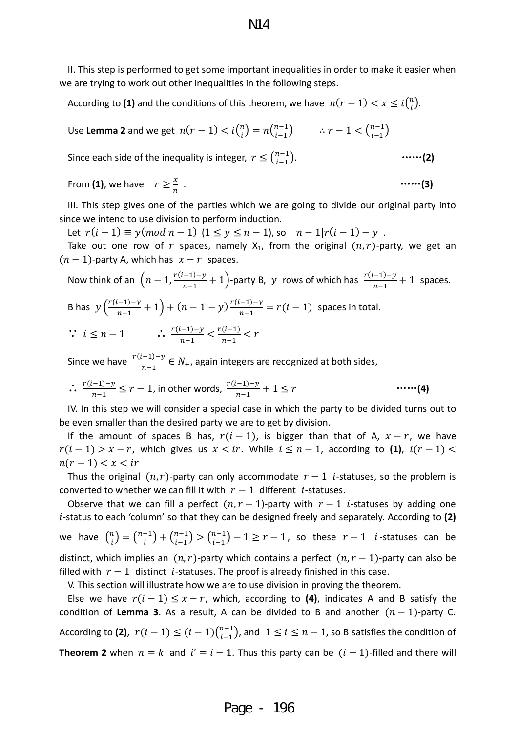II. This step is performed to get some important inequalities in order to make it easier when we are trying to work out other inequalities in the following steps.

According to (1) and the conditions of this theorem, we have  $n(r - 1) < x \leq i{n \choose i}$ .

Use **Lemma 2** and we get  $n(r - 1) < i {n \choose i} = n {n-1 \choose i-1}$   $\therefore r - 1 < {n-1 \choose i-1}$ 

Since each side of the inequality is integer,  $r \leq {n-1 \choose i-1}$ . −1 �. ……**(2)**

From **(1)**, we have  $r \geq \frac{x}{n}$ . ……**(3)**

III. This step gives one of the parties which we are going to divide our original party into since we intend to use division to perform induction.

Let  $r(i - 1) \equiv y (mod\ n - 1)$   $(1 \le y \le n - 1)$ , so  $n - 1|r(i - 1) - y$ .

Take out one row of r spaces, namely  $X_1$ , from the original  $(n, r)$ -party, we get an  $(n - 1)$ -party A, which has  $x - r$  spaces.

Now think of an 
$$
\left(n-1,\frac{r(i-1)-y}{n-1}+1\right)
$$
-party B,  $y$  rows of which has  $\frac{r(i-1)-y}{n-1}+1$  spaces.

\nB has  $y\left(\frac{r(i-1)-y}{n-1}+1\right) + (n-1-y)\frac{r(i-1)-y}{n-1} = r(i-1)$  spaces in total.

\n $\therefore i \leq n-1$   $\therefore \frac{r(i-1)-y}{n-1} < \frac{r(i-1)}{n-1} < r$ 

Since we have  $\frac{r(i-1)-y}{n-1} \in N_+$ , again integers are recognized at both sides,

$$
\therefore \frac{r(i-1)-y}{n-1} \le r-1, \text{ in other words, } \frac{r(i-1)-y}{n-1} + 1 \le r \qquad \qquad \text{......(4)}
$$

IV. In this step we will consider a special case in which the party to be divided turns out to be even smaller than the desired party we are to get by division.

If the amount of spaces B has,  $r(i - 1)$ , is bigger than that of A,  $x - r$ , we have  $r(i - 1) > x - r$ , which gives us  $x < ir$ . While  $i \leq n - 1$ , according to (1),  $i(r - 1) <$  $n(r-1) < x < ir$ 

Thus the original  $(n, r)$ -party can only accommodate  $r - 1$  *i*-statuses, so the problem is converted to whether we can fill it with  $r - 1$  different *i*-statuses.

Observe that we can fill a perfect  $(n, r - 1)$ -party with  $r - 1$  *i*-statuses by adding one -status to each 'column' so that they can be designed freely and separately. According to **(2)** we have  $\binom{n}{i}$  $\binom{n}{i} = \binom{n-1}{i} + \binom{n-1}{i-1} > \binom{n-1}{i-1} - 1 \geq r - 1$ , so these  $r - 1$  *i*-statuses can be distinct, which implies an  $(n, r)$ -party which contains a perfect  $(n, r - 1)$ -party can also be filled with  $r - 1$  distinct *i*-statuses. The proof is already finished in this case.

V. This section will illustrate how we are to use division in proving the theorem.

Else we have  $r(i - 1) \leq x - r$ , which, according to (4), indicates A and B satisfy the condition of Lemma 3. As a result, A can be divided to B and another  $(n - 1)$ -party C. According to (2),  $r(i - 1) \leq (i - 1) {n-1 \choose i-1}$ , and  $1 \leq i \leq n-1$ , so B satisfies the condition of **Theorem 2** when  $n = k$  and  $i' = i - 1$ . Thus this party can be  $(i - 1)$ -filled and there will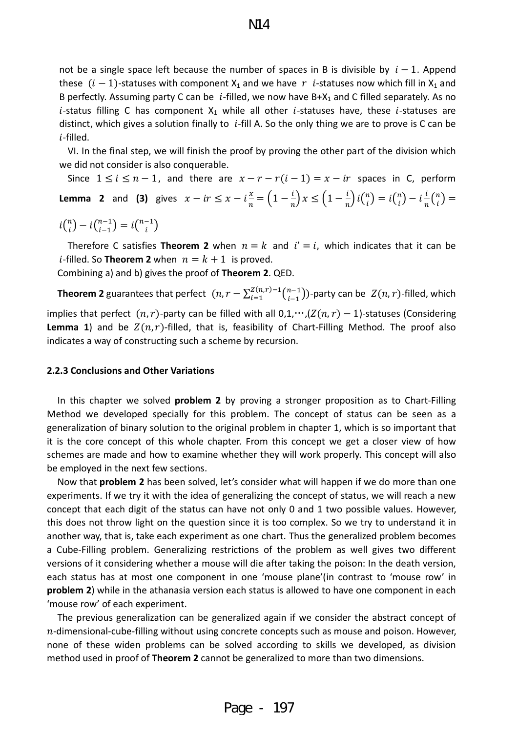not be a single space left because the number of spaces in B is divisible by  $i - 1$ . Append these  $(i - 1)$ -statuses with component  $X_1$  and we have r *i*-statuses now which fill in  $X_1$  and B perfectly. Assuming party C can be *i*-filled, we now have  $B+X_1$  and C filled separately. As no *i*-status filling C has component  $X_1$  while all other *i*-statuses have, these *i*-statuses are distinct, which gives a solution finally to  $i$ -fill A. So the only thing we are to prove is C can be -filled.

VI. In the final step, we will finish the proof by proving the other part of the division which we did not consider is also conquerable.

Since  $1 \le i \le n-1$ , and there are  $x - r - r(i-1) = x - ir$  spaces in C, perform **Lemma 2** and (3) gives  $x - ir \le x - i\frac{x}{n} = \left(1 - \frac{l}{n}\right)x \le \left(1 - \frac{l}{n}\right)i{n \choose i} = i{n \choose i}$  $\binom{n}{i} - i\frac{l}{n}\binom{n}{i} =$  $i\binom{n}{i} - i\binom{n-1}{i-1} = i\binom{n-1}{i}$ 

Therefore C satisfies **Theorem 2** when  $n = k$  and  $i' = i$ , which indicates that it can be *i*-filled. So **Theorem 2** when  $n = k + 1$  is proved.

Combining a) and b) gives the proof of **Theorem 2**. QED.

**Theorem 2** guarantees that perfect  $(n, r - \sum_{i=1}^{Z(n,r)-1} \binom{n-1}{i-1}$ -party can be  $Z(n, r)$ -filled, which implies that perfect  $(n, r)$ -party can be filled with all  $0, 1, \dots, (Z(n, r) - 1)$ -statuses (Considering **Lemma 1**) and be  $Z(n, r)$ -filled, that is, feasibility of Chart-Filling Method. The proof also indicates a way of constructing such a scheme by recursion.

#### <span id="page-13-0"></span>**2.2.3 Conclusions and Other Variations**

 In this chapter we solved **problem 2** by proving a stronger proposition as to Chart-Filling Method we developed specially for this problem. The concept of status can be seen as a generalization of binary solution to the original problem in chapter 1, which is so important that it is the core concept of this whole chapter. From this concept we get a closer view of how schemes are made and how to examine whether they will work properly. This concept will also be employed in the next few sections.

 Now that **problem 2** has been solved, let's consider what will happen if we do more than one experiments. If we try it with the idea of generalizing the concept of status, we will reach a new concept that each digit of the status can have not only 0 and 1 two possible values. However, this does not throw light on the question since it is too complex. So we try to understand it in another way, that is, take each experiment as one chart. Thus the generalized problem becomes a Cube-Filling problem. Generalizing restrictions of the problem as well gives two different versions of it considering whether a mouse will die after taking the poison: In the death version, each status has at most one component in one 'mouse plane'(in contrast to 'mouse row' in **problem 2**) while in the athanasia version each status is allowed to have one component in each 'mouse row' of each experiment.

 The previous generalization can be generalized again if we consider the abstract concept of  $n$ -dimensional-cube-filling without using concrete concepts such as mouse and poison. However, none of these widen problems can be solved according to skills we developed, as division method used in proof of **Theorem 2** cannot be generalized to more than two dimensions.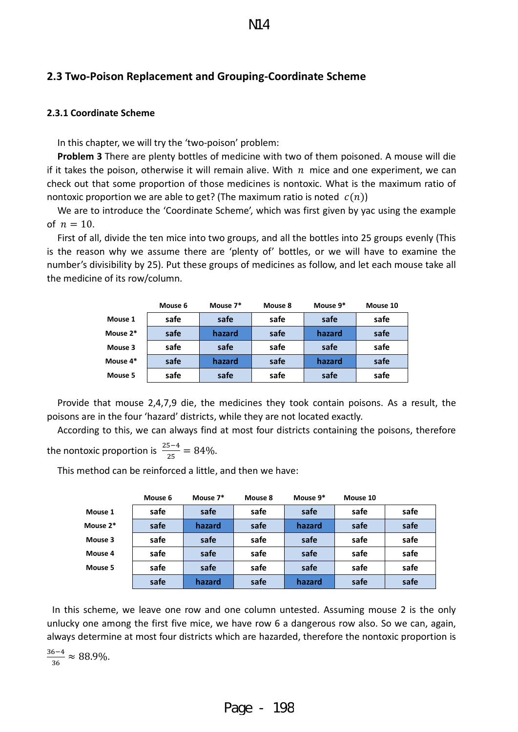## <span id="page-14-0"></span>**2.3 Two-Poison Replacement and Grouping-Coordinate Scheme**

#### <span id="page-14-1"></span>**2.3.1 Coordinate Scheme**

In this chapter, we will try the 'two-poison' problem:

**Problem 3** There are plenty bottles of medicine with two of them poisoned. A mouse will die if it takes the poison, otherwise it will remain alive. With  $n$  mice and one experiment, we can check out that some proportion of those medicines is nontoxic. What is the maximum ratio of nontoxic proportion we are able to get? (The maximum ratio is noted  $c(n)$ )

 We are to introduce the 'Coordinate Scheme', which was first given by yac using the example of  $n = 10$ .

 First of all, divide the ten mice into two groups, and all the bottles into 25 groups evenly (This is the reason why we assume there are 'plenty of' bottles, or we will have to examine the number's divisibility by 25). Put these groups of medicines as follow, and let each mouse take all the medicine of its row/column.

|          | Mouse 6 | Mouse 7* | Mouse 8 | Mouse 9* | Mouse 10 |
|----------|---------|----------|---------|----------|----------|
| Mouse 1  | safe    | safe     | safe    | safe     | safe     |
| Mouse 2* | safe    | hazard   | safe    | hazard   | safe     |
| Mouse 3  | safe    | safe     | safe    | safe     | safe     |
| Mouse 4* | safe    | hazard   | safe    | hazard   | safe     |
| Mouse 5  | safe    | safe     | safe    | safe     | safe     |

Provide that mouse 2,4,7,9 die, the medicines they took contain poisons. As a result, the poisons are in the four 'hazard' districts, while they are not located exactly.

 According to this, we can always find at most four districts containing the poisons, therefore the nontoxic proportion is  $\frac{25-4}{25} = 84\%$ .

This method can be reinforced a little, and then we have:

|          | Mouse 6 | Mouse 7* | Mouse 8 | Mouse 9* | Mouse 10 |      |
|----------|---------|----------|---------|----------|----------|------|
| Mouse 1  | safe    | safe     | safe    | safe     | safe     | safe |
| Mouse 2* | safe    | hazard   | safe    | hazard   | safe     | safe |
| Mouse 3  | safe    | safe     | safe    | safe     | safe     | safe |
| Mouse 4  | safe    | safe     | safe    | safe     | safe     | safe |
| Mouse 5  | safe    | safe     | safe    | safe     | safe     | safe |
|          | safe    | hazard   | safe    | hazard   | safe     | safe |

In this scheme, we leave one row and one column untested. Assuming mouse 2 is the only unlucky one among the first five mice, we have row 6 a dangerous row also. So we can, again, always determine at most four districts which are hazarded, therefore the nontoxic proportion is

$$
\frac{36-4}{36} \approx 88.9\%.
$$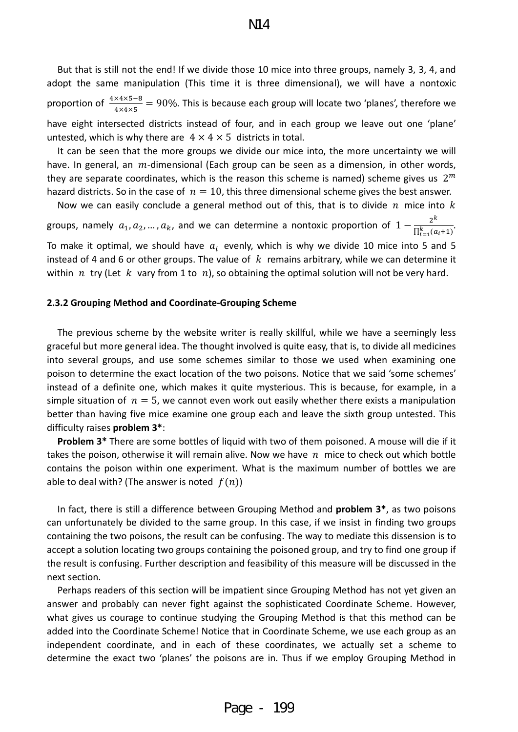But that is still not the end! If we divide those 10 mice into three groups, namely 3, 3, 4, and adopt the same manipulation (This time it is three dimensional), we will have a nontoxic proportion of  $\frac{4 \times 4 \times 5-8}{4 \times 4 \times 5}$  = 90%. This is because each group will locate two 'planes', therefore we have eight intersected districts instead of four, and in each group we leave out one 'plane' untested, which is why there are  $4 \times 4 \times 5$  districts in total.

 It can be seen that the more groups we divide our mice into, the more uncertainty we will have. In general, an  $m$ -dimensional (Each group can be seen as a dimension, in other words, they are separate coordinates, which is the reason this scheme is named) scheme gives us  $2<sup>m</sup>$ hazard districts. So in the case of  $n = 10$ , this three dimensional scheme gives the best answer.

Now we can easily conclude a general method out of this, that is to divide  $n$  mice into  $k$ groups, namely  $a_1, a_2, ..., a_k$ , and we can determine a nontoxic proportion of  $1 - \frac{2^k}{\prod_{i=1}^k (a_i+1)}$ . To make it optimal, we should have  $a_i$  evenly, which is why we divide 10 mice into 5 and 5 instead of 4 and 6 or other groups. The value of  $k$  remains arbitrary, while we can determine it within  $n$  try (Let  $k$  vary from 1 to  $n$ ), so obtaining the optimal solution will not be very hard.

#### <span id="page-15-0"></span>**2.3.2 Grouping Method and Coordinate-Grouping Scheme**

 The previous scheme by the website writer is really skillful, while we have a seemingly less graceful but more general idea. The thought involved is quite easy, that is, to divide all medicines into several groups, and use some schemes similar to those we used when examining one poison to determine the exact location of the two poisons. Notice that we said 'some schemes' instead of a definite one, which makes it quite mysterious. This is because, for example, in a simple situation of  $n = 5$ , we cannot even work out easily whether there exists a manipulation better than having five mice examine one group each and leave the sixth group untested. This difficulty raises **problem 3\***:

**Problem 3\*** There are some bottles of liquid with two of them poisoned. A mouse will die if it takes the poison, otherwise it will remain alive. Now we have  $n$  mice to check out which bottle contains the poison within one experiment. What is the maximum number of bottles we are able to deal with? (The answer is noted  $f(n)$ )

 In fact, there is still a difference between Grouping Method and **problem 3\***, as two poisons can unfortunately be divided to the same group. In this case, if we insist in finding two groups containing the two poisons, the result can be confusing. The way to mediate this dissension is to accept a solution locating two groups containing the poisoned group, and try to find one group if the result is confusing. Further description and feasibility of this measure will be discussed in the next section.

 Perhaps readers of this section will be impatient since Grouping Method has not yet given an answer and probably can never fight against the sophisticated Coordinate Scheme. However, what gives us courage to continue studying the Grouping Method is that this method can be added into the Coordinate Scheme! Notice that in Coordinate Scheme, we use each group as an independent coordinate, and in each of these coordinates, we actually set a scheme to determine the exact two 'planes' the poisons are in. Thus if we employ Grouping Method in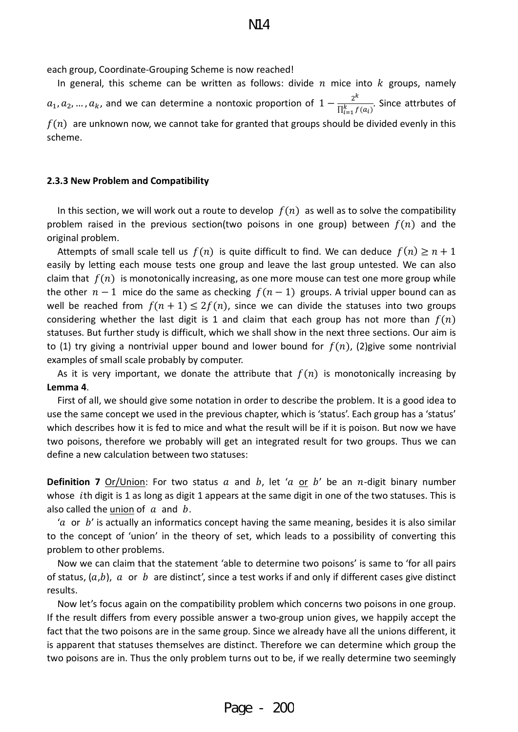each group, Coordinate-Grouping Scheme is now reached!

In general, this scheme can be written as follows: divide  $n$  mice into  $k$  groups, namely  $a_1, a_2, ..., a_k$ , and we can determine a nontoxic proportion of  $1 - \frac{2^k}{\prod_{i=1}^k f(a_i)}$ . Since attrbutes of  $f(n)$  are unknown now, we cannot take for granted that groups should be divided evenly in this scheme.

#### <span id="page-16-0"></span>**2.3.3 New Problem and Compatibility**

In this section, we will work out a route to develop  $f(n)$  as well as to solve the compatibility problem raised in the previous section(two poisons in one group) between  $f(n)$  and the original problem.

Attempts of small scale tell us  $f(n)$  is quite difficult to find. We can deduce  $f(n) \ge n + 1$ easily by letting each mouse tests one group and leave the last group untested. We can also claim that  $f(n)$  is monotonically increasing, as one more mouse can test one more group while the other  $n-1$  mice do the same as checking  $f(n-1)$  groups. A trivial upper bound can as well be reached from  $f(n + 1) \leq 2f(n)$ , since we can divide the statuses into two groups considering whether the last digit is 1 and claim that each group has not more than  $f(n)$ statuses. But further study is difficult, which we shall show in the next three sections. Our aim is to (1) try giving a nontrivial upper bound and lower bound for  $f(n)$ , (2)give some nontrivial examples of small scale probably by computer.

As it is very important, we donate the attribute that  $f(n)$  is monotonically increasing by **Lemma 4**.

 First of all, we should give some notation in order to describe the problem. It is a good idea to use the same concept we used in the previous chapter, which is 'status'. Each group has a 'status' which describes how it is fed to mice and what the result will be if it is poison. But now we have two poisons, therefore we probably will get an integrated result for two groups. Thus we can define a new calculation between two statuses:

**Definition 7** Or/Union: For two status  $a$  and  $b$ , let ' $a$  or  $b'$  be an  $n$ -digit binary number whose *i*th digit is 1 as long as digit 1 appears at the same digit in one of the two statuses. This is also called the union of  $\alpha$  and  $\beta$ .

'a or  $b'$  is actually an informatics concept having the same meaning, besides it is also similar to the concept of 'union' in the theory of set, which leads to a possibility of converting this problem to other problems.

 Now we can claim that the statement 'able to determine two poisons' is same to 'for all pairs of status,  $(a,b)$ ,  $a$  or  $b$  are distinct', since a test works if and only if different cases give distinct results.

 Now let's focus again on the compatibility problem which concerns two poisons in one group. If the result differs from every possible answer a two-group union gives, we happily accept the fact that the two poisons are in the same group. Since we already have all the unions different, it is apparent that statuses themselves are distinct. Therefore we can determine which group the two poisons are in. Thus the only problem turns out to be, if we really determine two seemingly

Page - 200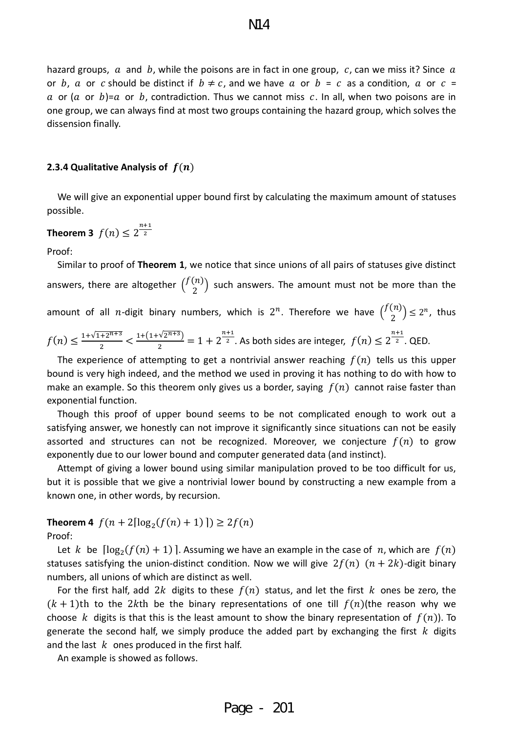hazard groups,  $\alpha$  and  $\beta$ , while the poisons are in fact in one group,  $c$ , can we miss it? Since  $\alpha$ or b, a or c should be distinct if  $b \neq c$ , and we have a or  $b = c$  as a condition, a or  $c =$ a or (a or b)=a or b, contradiction. Thus we cannot miss c. In all, when two poisons are in one group, we can always find at most two groups containing the hazard group, which solves the dissension finally.

#### <span id="page-17-0"></span>**2.3.4 Qualitative Analysis of**  $f(n)$

We will give an exponential upper bound first by calculating the maximum amount of statuses possible.

**Theorem 3** 
$$
f(n) \leq 2^{\frac{n+1}{2}}
$$

Proof:

 Similar to proof of **Theorem 1**, we notice that since unions of all pairs of statuses give distinct answers, there are altogether  $\binom{f(n)}{2}$  such answers. The amount must not be more than the amount of all *n*-digit binary numbers, which is  $2^n$ . Therefore we have  $\binom{f(n)}{2} \leq 2^n$ , thus  $f(n) \leq \frac{1+\sqrt{1+2^{n+3}}}{2} < \frac{1+(1+\sqrt{2^{n+3}})}{2} = 1 + 2^{\frac{n+1}{2}}$ . As both sides are integer,  $f(n) \leq 2^{\frac{n+1}{2}}$ . QED.

The experience of attempting to get a nontrivial answer reaching  $f(n)$  tells us this upper bound is very high indeed, and the method we used in proving it has nothing to do with how to make an example. So this theorem only gives us a border, saying  $f(n)$  cannot raise faster than exponential function.

 Though this proof of upper bound seems to be not complicated enough to work out a satisfying answer, we honestly can not improve it significantly since situations can not be easily assorted and structures can not be recognized. Moreover, we conjecture  $f(n)$  to grow exponently due to our lower bound and computer generated data (and instinct).

 Attempt of giving a lower bound using similar manipulation proved to be too difficult for us, but it is possible that we give a nontrivial lower bound by constructing a new example from a known one, in other words, by recursion.

**Theorem 4**  $f(n+2\lceil \log_2(f(n)+1) \rceil) \geq 2f(n)$ 

Proof:

Let k be  $\lceil \log_2(f(n) + 1) \rceil$ . Assuming we have an example in the case of n, which are  $f(n)$ statuses satisfying the union-distinct condition. Now we will give  $2f(n)$   $(n + 2k)$ -digit binary numbers, all unions of which are distinct as well.

For the first half, add 2k digits to these  $f(n)$  status, and let the first k ones be zero, the  $(k + 1)$ th to the 2kth be the binary representations of one till  $f(n)$ (the reason why we choose k digits is that this is the least amount to show the binary representation of  $f(n)$ ). To generate the second half, we simply produce the added part by exchanging the first  $k$  digits and the last  $k$  ones produced in the first half.

An example is showed as follows.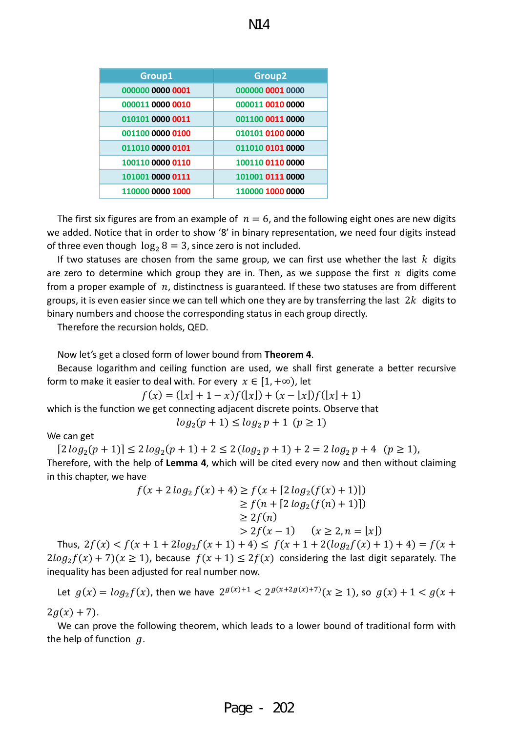| Group1           | Group <sub>2</sub> |
|------------------|--------------------|
| 000000 0000 0001 | 000000 0001 0000   |
| 000011 0000 0010 | 000011 0010 0000   |
| 010101 0000 0011 | 001100 0011 0000   |
| 001100 0000 0100 | 010101 0100 0000   |
| 011010 0000 0101 | 011010 0101 0000   |
| 100110 0000 0110 | 100110 0110 0000   |
| 101001 0000 0111 | 101001 0111 0000   |
| 110000 0000 1000 | 110000 1000 0000   |

The first six figures are from an example of  $n = 6$ , and the following eight ones are new digits we added. Notice that in order to show '8' in binary representation, we need four digits instead of three even though  $\log_2 8 = 3$ , since zero is not included.

If two statuses are chosen from the same group, we can first use whether the last  $k$  digits are zero to determine which group they are in. Then, as we suppose the first  $n$  digits come from a proper example of  $n$ , distinctness is guaranteed. If these two statuses are from different groups, it is even easier since we can tell which one they are by transferring the last  $2k$  digits to binary numbers and choose the corresponding status in each group directly.

Therefore the recursion holds, QED.

#### Now let's get a closed form of lower bound from **Theorem 4**.

Because logarithm and ceiling function are used, we shall first generate a better recursive form to make it easier to deal with. For every  $x \in [1, +\infty)$ , let

$$
f(x) = (\lfloor x \rfloor + 1 - x) f(\lfloor x \rfloor) + (x - \lfloor x \rfloor) f(\lfloor x \rfloor + 1)
$$
  
which is the function we get connecting adjacent discrete points. Observe that  

$$
log_2(p + 1) \le log_2 p + 1 \ (p \ge 1)
$$

We can get

 $[2 log<sub>2</sub>(p+1)] \leq 2 log<sub>2</sub>(p+1) + 2 \leq 2 (log<sub>2</sub> p+1) + 2 = 2 log<sub>2</sub> p + 4 (p \geq 1),$ Therefore, with the help of **Lemma 4**, which will be cited every now and then without claiming in this chapter, we have

$$
f(x + 2\log_2 f(x) + 4) \ge f(x + [2\log_2(f(x) + 1)])
$$
  
\n
$$
\ge f(n + [2\log_2(f(n) + 1)])
$$
  
\n
$$
\ge 2f(n)
$$
  
\n
$$
> 2f(x - 1) \quad (x \ge 2, n = |x|)
$$

Thus,  $2f(x) < f(x + 1 + 2\log_2 f(x + 1) + 4) \le f(x + 1 + 2(\log_2 f(x) + 1) + 4) = f(x + 1)$  $2log_2 f(x) + 7(x \ge 1)$ , because  $f(x + 1) \le 2f(x)$  considering the last digit separately. The inequality has been adjusted for real number now.

Let  $g(x) = log_2 f(x)$ , then we have  $2^{g(x)+1} < 2^{g(x+2g(x)+7)} (x \ge 1)$ , so  $g(x) + 1 < g(x +$  $2g(x) + 7$ .

We can prove the following theorem, which leads to a lower bound of traditional form with the help of function  $q$ .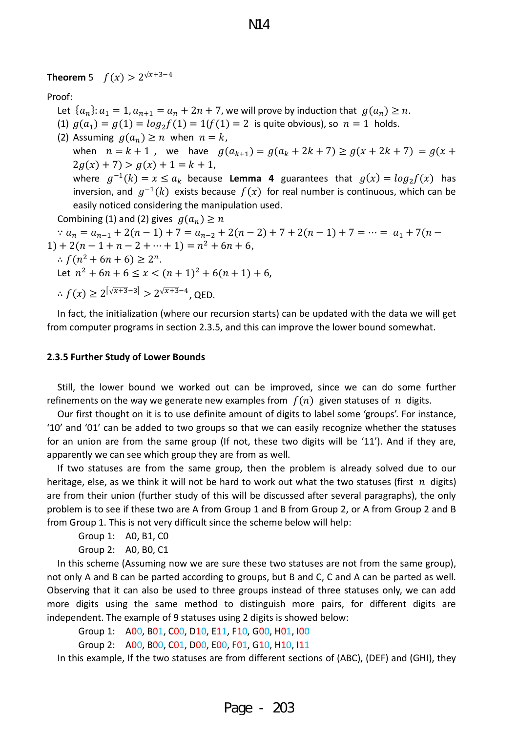**Theorem** 5  $f(x) > 2^{\sqrt{x+3}-4}$ 

Proof:

- Let  ${a_n}$ :  $a_1 = 1, a_{n+1} = a_n + 2n + 7$ , we will prove by induction that  $g(a_n) \ge n$ .
- (1)  $g(a_1) = g(1) = log_2 f(1) = 1$   $(f(1) = 2$  is quite obvious), so  $n = 1$  holds.

(2) Assuming  $g(a_n) \ge n$  when  $n = k$ , when  $n = k + 1$ , we have  $g(a_{k+1}) = g(a_k + 2k + 7) \ge g(x + 2k + 7) = g(x + 7)$  $2g(x) + 7$ ) >  $g(x) + 1 = k + 1$ , where  $g^{-1}(k) = x \le a_k$  because **Lemma 4** guarantees that  $g(x) = log_2 f(x)$  has inversion, and  $g^{-1}(k)$  exists because  $f(x)$  for real number is continuous, which can be easily noticed considering the manipulation used.

Combining (1) and (2) gives  $q(a_n) \ge n$ 

 $a_n = a_{n-1} + 2(n-1) + 7 = a_{n-2} + 2(n-2) + 7 + 2(n-1) + 7 = \cdots = a_1 + 7(n-1)$  $1) + 2(n - 1 + n - 2 + \cdots + 1) = n^2 + 6n + 6,$ 

∴  $f(n^2 + 6n + 6) \ge 2^n$ .

Let  $n^2 + 6n + 6 \le x < (n+1)^2 + 6(n+1) + 6$ ,

 $\therefore f(x) \geq 2^{\left[\sqrt{x+3}-3\right]} > 2^{\sqrt{x+3}-4}$ . QED.

In fact, the initialization (where our recursion starts) can be updated with the data we will get from computer programs in section 2.3.5, and this can improve the lower bound somewhat.

#### <span id="page-19-0"></span>**2.3.5 Further Study of Lower Bounds**

Still, the lower bound we worked out can be improved, since we can do some further refinements on the way we generate new examples from  $f(n)$  given statuses of  $n$  digits.

Our first thought on it is to use definite amount of digits to label some 'groups'. For instance, '10' and '01' can be added to two groups so that we can easily recognize whether the statuses for an union are from the same group (If not, these two digits will be '11'). And if they are, apparently we can see which group they are from as well.

If two statuses are from the same group, then the problem is already solved due to our heritage, else, as we think it will not be hard to work out what the two statuses (first  $n$  digits) are from their union (further study of this will be discussed after several paragraphs), the only problem is to see if these two are A from Group 1 and B from Group 2, or A from Group 2 and B from Group 1. This is not very difficult since the scheme below will help:

Group 1: A0, B1, C0

Group 2: A0, B0, C1

In this scheme (Assuming now we are sure these two statuses are not from the same group), not only A and B can be parted according to groups, but B and C, C and A can be parted as well. Observing that it can also be used to three groups instead of three statuses only, we can add more digits using the same method to distinguish more pairs, for different digits are independent. The example of 9 statuses using 2 digits is showed below:

Group 1: A00, B01, C00, D10, E11, F10, G00, H01, I00

Group 2: A00, B00, C01, D00, E00, F01, G10, H10, I11

In this example, If the two statuses are from different sections of (ABC), (DEF) and (GHI), they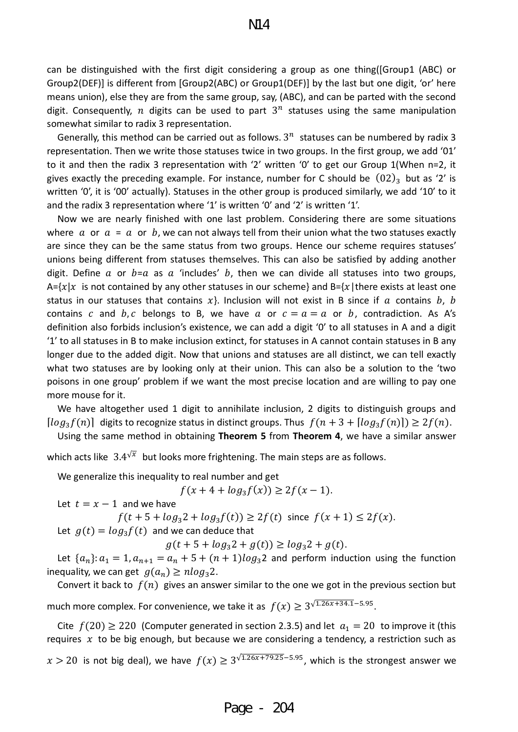can be distinguished with the first digit considering a group as one thing([Group1 (ABC) or Group2(DEF)] is different from [Group2(ABC) or Group1(DEF)] by the last but one digit, 'or' here means union), else they are from the same group, say, (ABC), and can be parted with the second digit. Consequently, *n* digits can be used to part  $3^n$  statuses using the same manipulation somewhat similar to radix 3 representation.

Generally, this method can be carried out as follows.  $3^n$  statuses can be numbered by radix 3 representation. Then we write those statuses twice in two groups. In the first group, we add '01' to it and then the radix 3 representation with '2' written '0' to get our Group 1(When n=2, it gives exactly the preceding example. For instance, number for C should be  $(02)_3$  but as '2' is written '0', it is '00' actually). Statuses in the other group is produced similarly, we add '10' to it and the radix 3 representation where '1' is written '0' and '2' is written '1'.

Now we are nearly finished with one last problem. Considering there are some situations where  $a$  or  $a = a$  or  $b$ , we can not always tell from their union what the two statuses exactly are since they can be the same status from two groups. Hence our scheme requires statuses' unions being different from statuses themselves. This can also be satisfied by adding another digit. Define  $\alpha$  or  $b=a$  as  $\alpha$  'includes'  $b$ , then we can divide all statuses into two groups, A= $\{x \mid x$  is not contained by any other statuses in our scheme} and B= $\{x \mid t$  here exists at least one status in our statuses that contains  $x$ }. Inclusion will not exist in B since if  $a$  contains  $b$ ,  $b$ contains c and b, c belongs to B, we have a or  $c = a = a$  or b, contradiction. As A's definition also forbids inclusion's existence, we can add a digit '0' to all statuses in A and a digit '1' to all statuses in B to make inclusion extinct, for statuses in A cannot contain statuses in B any longer due to the added digit. Now that unions and statuses are all distinct, we can tell exactly what two statuses are by looking only at their union. This can also be a solution to the 'two poisons in one group' problem if we want the most precise location and are willing to pay one more mouse for it.

We have altogether used 1 digit to annihilate inclusion, 2 digits to distinguish groups and  $[log_3 f(n)]$  digits to recognize status in distinct groups. Thus  $f(n + 3 + \lfloor log_3 f(n) \rfloor) \geq 2f(n)$ .

Using the same method in obtaining **Theorem 5** from **Theorem 4**, we have a similar answer

which acts like  $3.4^{\sqrt{x}}$  but looks more frightening. The main steps are as follows.

We generalize this inequality to real number and get

$$
f(x + 4 + \log_3 f(x)) \ge 2f(x - 1).
$$

Let  $t = x - 1$  and we have

 $f(t + 5 + log_3 2 + log_3 f(t)) \ge 2f(t)$  since  $f(x + 1) \le 2f(x)$ .

Let  $g(t) = log_3 f(t)$  and we can deduce that

 $g(t + 5 + log_3 2 + g(t)) \ge log_3 2 + g(t).$ 

Let  ${a_n}$ :  $a_1 = 1, a_{n+1} = a_n + 5 + (n+1)log_3 2$  and perform induction using the function inequality, we can get  $g(a_n) \geq n \log_3 2$ .

Convert it back to  $f(n)$  gives an answer similar to the one we got in the previous section but much more complex. For convenience, we take it as  $f(x) \ge 3^{\sqrt{1.26x + 34.1} - 5.95}$ .

Cite  $f(20) \ge 220$  (Computer generated in section 2.3.5) and let  $a_1 = 20$  to improve it (this requires  $x$  to be big enough, but because we are considering a tendency, a restriction such as

 $x > 20$  is not big deal), we have  $f(x) \ge 3^{\sqrt{1.26x+79.25}-5.95}$ , which is the strongest answer we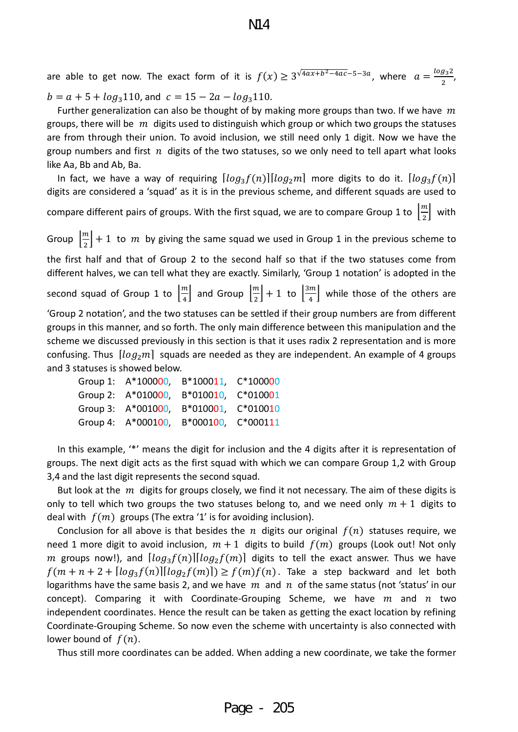are able to get now. The exact form of it is  $f(x) \geq 3^{\sqrt{4ax+b^2-4ac}-5-3a}$ , where  $a = \frac{\log_3 2}{2}$ ,  $b = a + 5 + log<sub>3</sub>110$ , and  $c = 15 - 2a - log<sub>3</sub>110$ .

Further generalization can also be thought of by making more groups than two. If we have  $m$ groups, there will be  $m$  digits used to distinguish which group or which two groups the statuses are from through their union. To avoid inclusion, we still need only 1 digit. Now we have the group numbers and first  $n$  digits of the two statuses, so we only need to tell apart what looks like Aa, Bb and Ab, Ba.

In fact, we have a way of requiring  $[log_3 f(n)][log_2 m]$  more digits to do it.  $[log_3 f(n)]$ digits are considered a 'squad' as it is in the previous scheme, and different squads are used to compare different pairs of groups. With the first squad, we are to compare Group 1 to  $\left[\frac{m}{2}\right]$  with Group  $\left\lfloor \frac{m}{2} \right\rfloor + 1$  to  $m$  by giving the same squad we used in Group 1 in the previous scheme to

the first half and that of Group 2 to the second half so that if the two statuses come from different halves, we can tell what they are exactly. Similarly, 'Group 1 notation' is adopted in the

second squad of Group 1 to  $\left[\frac{m}{4}\right]$  and Group  $\left[\frac{m}{2}\right]+1$  to  $\left[\frac{3m}{4}\right]$  while those of the others are

'Group 2 notation', and the two statuses can be settled if their group numbers are from different groups in this manner, and so forth. The only main difference between this manipulation and the scheme we discussed previously in this section is that it uses radix 2 representation and is more confusing. Thus  $[log_2 m]$  squads are needed as they are independent. An example of 4 groups and 3 statuses is showed below.

| Group 1: A*100000, B*100011, C*100000 |  |
|---------------------------------------|--|
| Group 2: A*010000, B*010010, C*010001 |  |
| Group 3: A*001000, B*010001, C*010010 |  |
| Group 4: A*000100, B*000100, C*000111 |  |

In this example, '\*' means the digit for inclusion and the 4 digits after it is representation of groups. The next digit acts as the first squad with which we can compare Group 1,2 with Group 3,4 and the last digit represents the second squad.

But look at the  $m$  digits for groups closely, we find it not necessary. The aim of these digits is only to tell which two groups the two statuses belong to, and we need only  $m + 1$  digits to deal with  $f(m)$  groups (The extra '1' is for avoiding inclusion).

Conclusion for all above is that besides the *n* digits our original  $f(n)$  statuses require, we need 1 more digit to avoid inclusion,  $m + 1$  digits to build  $f(m)$  groups (Look out! Not only m groups now!), and  $[log_3 f(n)][log_2 f(m)]$  digits to tell the exact answer. Thus we have  $f(m + n + 2 + \lfloor log_3 f(n) \rfloor \lfloor log_2 f(m) \rfloor) \ge f(m) f(n)$ . Take a step backward and let both logarithms have the same basis 2, and we have  $m$  and  $n$  of the same status (not 'status' in our concept). Comparing it with Coordinate-Grouping Scheme, we have  $m$  and  $n$  two independent coordinates. Hence the result can be taken as getting the exact location by refining Coordinate-Grouping Scheme. So now even the scheme with uncertainty is also connected with lower bound of  $f(n)$ .

Thus still more coordinates can be added. When adding a new coordinate, we take the former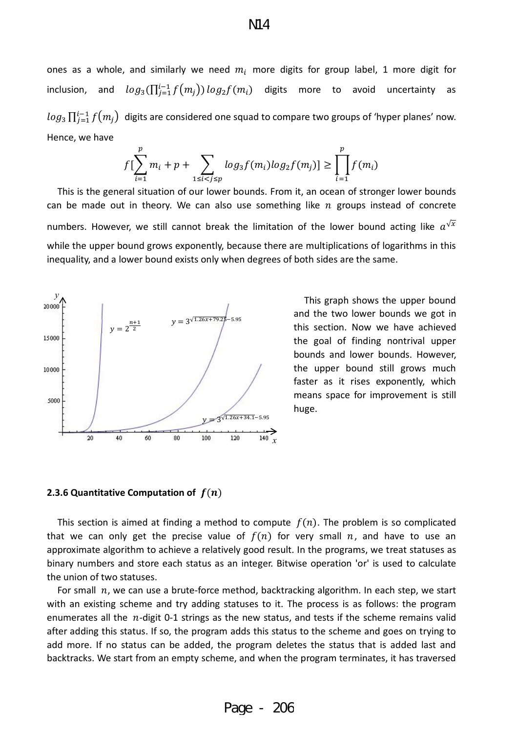N14

ones as a whole, and similarly we need  $m_i$  more digits for group label, 1 more digit for inclusion, and  $log_3(\prod_{j=1}^{l-1} f(m_j)) log_2 f(m_i)$  digits more to avoid uncertainty as  $log_3 \prod_{j=1}^{l-1} f(m_j)$  digits are considered one squad to compare two groups of 'hyper planes' now. Hence, we have

$$
f[\sum_{i=1}^{p} m_i + p + \sum_{1 \le i < j \le p} \log_3 f(m_i) \log_2 f(m_j)] \ge \prod_{i=1}^{p} f(m_i)
$$

This is the general situation of our lower bounds. From it, an ocean of stronger lower bounds can be made out in theory. We can also use something like  $n$  groups instead of concrete numbers. However, we still cannot break the limitation of the lower bound acting like  $a^{\sqrt{x}}$ while the upper bound grows exponently, because there are multiplications of logarithms in this inequality, and a lower bound exists only when degrees of both sides are the same.



 This graph shows the upper bound and the two lower bounds we got in this section. Now we have achieved the goal of finding nontrival upper bounds and lower bounds. However, the upper bound still grows much faster as it rises exponently, which means space for improvement is still huge.

#### <span id="page-22-0"></span>**2.3.6 Quantitative Computation of**  $f(n)$

This section is aimed at finding a method to compute  $f(n)$ . The problem is so complicated that we can only get the precise value of  $f(n)$  for very small  $n$ , and have to use an approximate algorithm to achieve a relatively good result. In the programs, we treat statuses as binary numbers and store each status as an integer. Bitwise operation 'or' is used to calculate the union of two statuses.

For small  $n$ , we can use a brute-force method, backtracking algorithm. In each step, we start with an existing scheme and try adding statuses to it. The process is as follows: the program enumerates all the  $n$ -digit 0-1 strings as the new status, and tests if the scheme remains valid after adding this status. If so, the program adds this status to the scheme and goes on trying to add more. If no status can be added, the program deletes the status that is added last and backtracks. We start from an empty scheme, and when the program terminates, it has traversed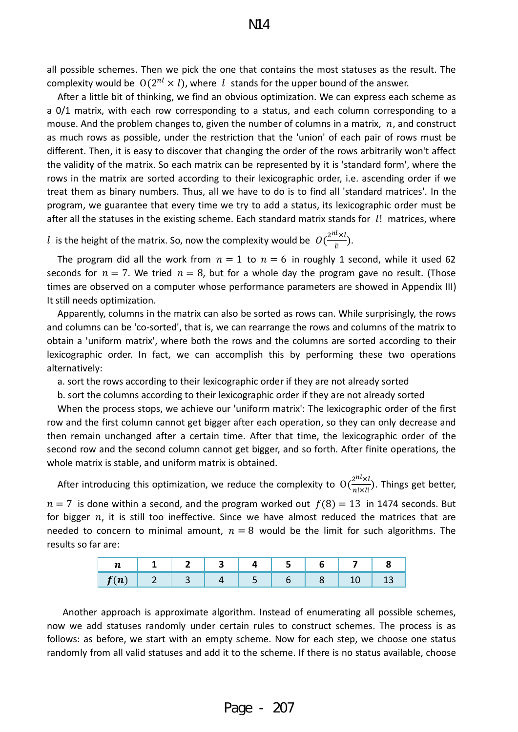all possible schemes. Then we pick the one that contains the most statuses as the result. The complexity would be  $O(2^{nl} \times l)$ , where l stands for the upper bound of the answer.

 After a little bit of thinking, we find an obvious optimization. We can express each scheme as a 0/1 matrix, with each row corresponding to a status, and each column corresponding to a mouse. And the problem changes to, given the number of columns in a matrix,  $n$ , and construct as much rows as possible, under the restriction that the 'union' of each pair of rows must be different. Then, it is easy to discover that changing the order of the rows arbitrarily won't affect the validity of the matrix. So each matrix can be represented by it is 'standard form', where the rows in the matrix are sorted according to their lexicographic order, i.e. ascending order if we treat them as binary numbers. Thus, all we have to do is to find all 'standard matrices'. In the program, we guarantee that every time we try to add a status, its lexicographic order must be after all the statuses in the existing scheme. Each standard matrix stands for *l!* matrices, where

l is the height of the matrix. So, now the complexity would be  $O(\frac{2^{n_k} \times l}{l!})$ .

The program did all the work from  $n = 1$  to  $n = 6$  in roughly 1 second, while it used 62 seconds for  $n = 7$ . We tried  $n = 8$ , but for a whole day the program gave no result. (Those times are observed on a computer whose performance parameters are showed in Appendix III) It still needs optimization.

 Apparently, columns in the matrix can also be sorted as rows can. While surprisingly, the rows and columns can be 'co-sorted', that is, we can rearrange the rows and columns of the matrix to obtain a 'uniform matrix', where both the rows and the columns are sorted according to their lexicographic order. In fact, we can accomplish this by performing these two operations alternatively:

a. sort the rows according to their lexicographic order if they are not already sorted

b. sort the columns according to their lexicographic order if they are not already sorted

 When the process stops, we achieve our 'uniform matrix': The lexicographic order of the first row and the first column cannot get bigger after each operation, so they can only decrease and then remain unchanged after a certain time. After that time, the lexicographic order of the second row and the second column cannot get bigger, and so forth. After finite operations, the whole matrix is stable, and uniform matrix is obtained.

After introducing this optimization, we reduce the complexity to  $O(\frac{2^{nL} \times l}{n! \times l})$ . Things get better,  $n = 7$  is done within a second, and the program worked out  $f(8) = 13$  in 1474 seconds. But for bigger  $n$ , it is still too ineffective. Since we have almost reduced the matrices that are needed to concern to minimal amount,  $n = 8$  would be the limit for such algorithms. The results so far are:

| $\boldsymbol{\eta}$ |  |  |  |  |
|---------------------|--|--|--|--|
| $\sim$<br>$\cdot$   |  |  |  |  |

Another approach is approximate algorithm. Instead of enumerating all possible schemes, now we add statuses randomly under certain rules to construct schemes. The process is as follows: as before, we start with an empty scheme. Now for each step, we choose one status randomly from all valid statuses and add it to the scheme. If there is no status available, choose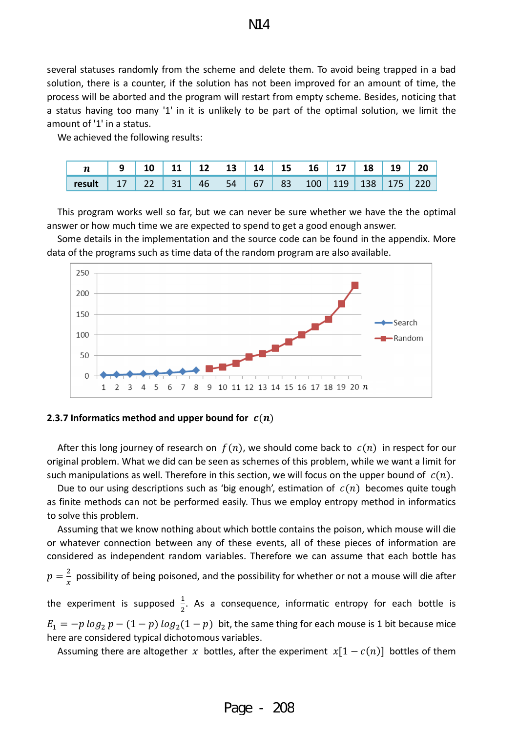several statuses randomly from the scheme and delete them. To avoid being trapped in a bad solution, there is a counter, if the solution has not been improved for an amount of time, the process will be aborted and the program will restart from empty scheme. Besides, noticing that a status having too many '1' in it is unlikely to be part of the optimal solution, we limit the amount of '1' in a status.

We achieved the following results:

| $\boldsymbol{n}$ |          | 12 | 13 | 14 | 15 <sup>7</sup> | 16               | 17  | 18   |     | 20  |
|------------------|----------|----|----|----|-----------------|------------------|-----|------|-----|-----|
| result           | $-22$ 31 | 46 | 54 | 67 | 83              | 100 <sup>°</sup> | 119 | 138. | 175 | 12C |

This program works well so far, but we can never be sure whether we have the the optimal answer or how much time we are expected to spend to get a good enough answer.

Some details in the implementation and the source code can be found in the appendix. More data of the programs such as time data of the random program are also available.



#### <span id="page-24-0"></span>**2.3.7 Informatics method and upper bound for**  $c(n)$

After this long journey of research on  $f(n)$ , we should come back to  $c(n)$  in respect for our original problem. What we did can be seen as schemes of this problem, while we want a limit for such manipulations as well. Therefore in this section, we will focus on the upper bound of  $c(n)$ .

Due to our using descriptions such as 'big enough', estimation of  $c(n)$  becomes quite tough as finite methods can not be performed easily. Thus we employ entropy method in informatics to solve this problem.

 Assuming that we know nothing about which bottle contains the poison, which mouse will die or whatever connection between any of these events, all of these pieces of information are considered as independent random variables. Therefore we can assume that each bottle has  $p = \frac{2}{x}$  possibility of being poisoned, and the possibility for whether or not a mouse will die after the experiment is supposed  $\frac{1}{2}$ . As a consequence, informatic entropy for each bottle is  $E_1 = -p \log_2 p - (1-p) \log_2(1-p)$  bit, the same thing for each mouse is 1 bit because mice here are considered typical dichotomous variables.

Assuming there are altogether x bottles, after the experiment  $x[1 - c(n)]$  bottles of them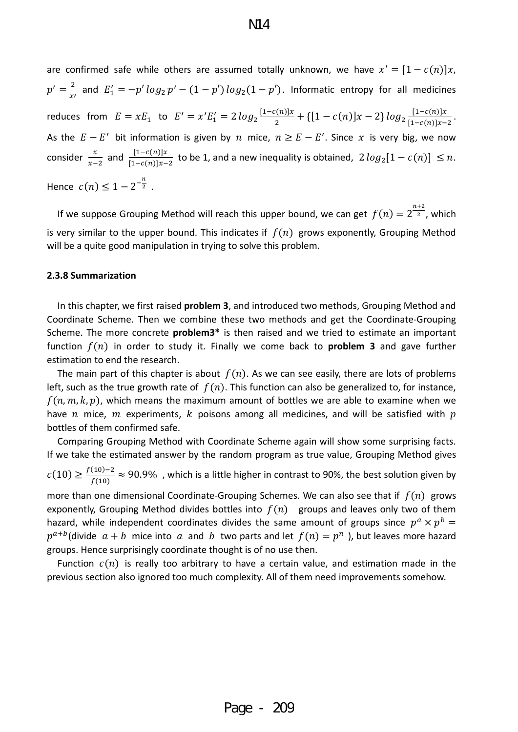are confirmed safe while others are assumed totally unknown, we have  $x' = [1 - c(n)]x$ ,  $p'=\frac{2}{x'}$  and  $E'_1=-p'\log_2 p'-(1-p')\log_2(1-p')$ . Informatic entropy for all medicines reduces from  $E = xE_1$  to  $E' = x'E_1' = 2 log_2 \frac{11 - c(n)x}{2} + \{[1 - c(n)]x - 2\} log_2 \frac{11 - c(n)x}{[1 - c(n)]x - 2}$ . As the  $E-E'$  bit information is given by  $n$  mice,  $n \geq E-E'$ . Since  $x$  is very big, we now consider  $\frac{x}{x-2}$  and  $\frac{[1-c(n)]x}{[1-c(n)]x-2}$  to be 1, and a new inequality is obtained,  $2 log_2[1-c(n)] \leq n$ . Hence  $c(n) \leq 1 - 2^{-\frac{n}{2}}$ .

If we suppose Grouping Method will reach this upper bound, we can get  $f(n) = 2^{\frac{n+2}{2}}$ , which is very similar to the upper bound. This indicates if  $f(n)$  grows exponently, Grouping Method will be a quite good manipulation in trying to solve this problem.

#### <span id="page-25-0"></span>**2.3.8 Summarization**

 In this chapter, we first raised **problem 3**, and introduced two methods, Grouping Method and Coordinate Scheme. Then we combine these two methods and get the Coordinate-Grouping Scheme. The more concrete **problem3\*** is then raised and we tried to estimate an important function  $f(n)$  in order to study it. Finally we come back to **problem 3** and gave further estimation to end the research.

The main part of this chapter is about  $f(n)$ . As we can see easily, there are lots of problems left, such as the true growth rate of  $f(n)$ . This function can also be generalized to, for instance,  $f(n, m, k, p)$ , which means the maximum amount of bottles we are able to examine when we have *n* mice, *m* experiments, *k* poisons among all medicines, and will be satisfied with p bottles of them confirmed safe.

 Comparing Grouping Method with Coordinate Scheme again will show some surprising facts. If we take the estimated answer by the random program as true value, Grouping Method gives

 $c(10) \geq \frac{f(10)-2}{f(10)}$  ≈ 90.9%, which is a little higher in contrast to 90%, the best solution given by

more than one dimensional Coordinate-Grouping Schemes. We can also see that if  $f(n)$  grows exponently, Grouping Method divides bottles into  $f(n)$  groups and leaves only two of them hazard, while independent coordinates divides the same amount of groups since  $p^a \times p^b =$  $p^{a+b}$ (divide  $a + b$  mice into a and b two parts and let  $f(n) = p^n$ ), but leaves more hazard groups. Hence surprisingly coordinate thought is of no use then.

Function  $c(n)$  is really too arbitrary to have a certain value, and estimation made in the previous section also ignored too much complexity. All of them need improvements somehow.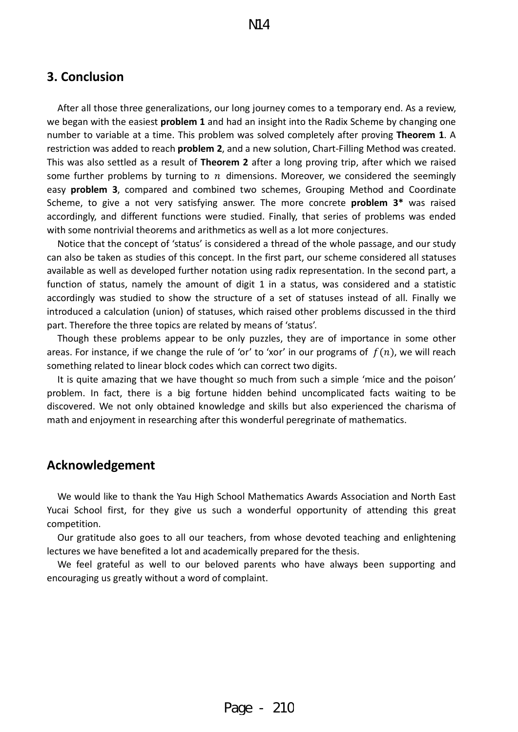## <span id="page-26-0"></span>**3. Conclusion**

 After all those three generalizations, our long journey comes to a temporary end. As a review, we began with the easiest **problem 1** and had an insight into the Radix Scheme by changing one number to variable at a time. This problem was solved completely after proving **Theorem 1**. A restriction was added to reach **problem 2**, and a new solution, Chart-Filling Method was created. This was also settled as a result of **Theorem 2** after a long proving trip, after which we raised some further problems by turning to  $n$  dimensions. Moreover, we considered the seemingly easy **problem 3**, compared and combined two schemes, Grouping Method and Coordinate Scheme, to give a not very satisfying answer. The more concrete **problem 3\*** was raised accordingly, and different functions were studied. Finally, that series of problems was ended with some nontrivial theorems and arithmetics as well as a lot more conjectures.

Notice that the concept of 'status' is considered a thread of the whole passage, and our study can also be taken as studies of this concept. In the first part, our scheme considered all statuses available as well as developed further notation using radix representation. In the second part, a function of status, namely the amount of digit 1 in a status, was considered and a statistic accordingly was studied to show the structure of a set of statuses instead of all. Finally we introduced a calculation (union) of statuses, which raised other problems discussed in the third part. Therefore the three topics are related by means of 'status'.

 Though these problems appear to be only puzzles, they are of importance in some other areas. For instance, if we change the rule of 'or' to 'xor' in our programs of  $f(n)$ , we will reach something related to linear block codes which can correct two digits.

It is quite amazing that we have thought so much from such a simple 'mice and the poison' problem. In fact, there is a big fortune hidden behind uncomplicated facts waiting to be discovered. We not only obtained knowledge and skills but also experienced the charisma of math and enjoyment in researching after this wonderful peregrinate of mathematics.

#### <span id="page-26-1"></span>**Acknowledgement**

We would like to thank the Yau High School Mathematics Awards Association and North East Yucai School first, for they give us such a wonderful opportunity of attending this great competition.

Our gratitude also goes to all our teachers, from whose devoted teaching and enlightening lectures we have benefited a lot and academically prepared for the thesis.

We feel grateful as well to our beloved parents who have always been supporting and encouraging us greatly without a word of complaint.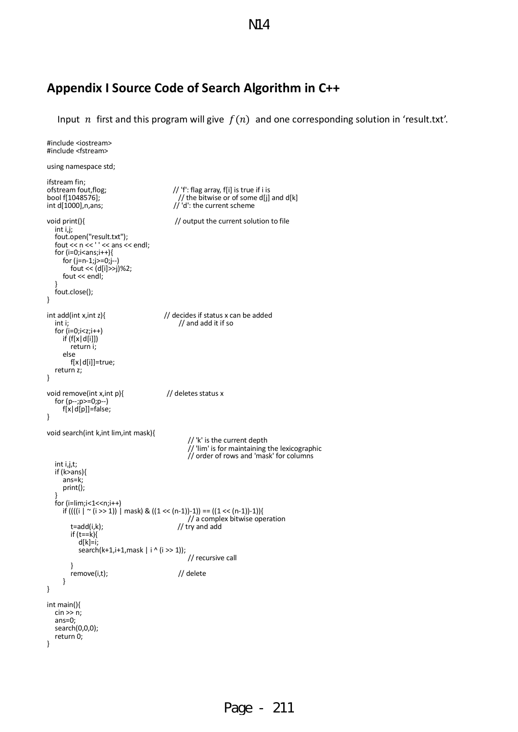N14

## <span id="page-27-0"></span>**Appendix I Source Code of Search Algorithm in C++**

Input *n* first and this program will give  $f(n)$  and one corresponding solution in 'result.txt'.

```
#include <iostream>
#include <fstream>
using namespace std;
ifstream fin;<br>ofstream fout, flog;
ofstream fout,flog; \frac{1}{2} // 'f': flag array, f[i] is true if i is bool f[1048576]; \frac{1}{2} // the bitwise or of some d[j]
bool f[1048576]; \binom{3}{1000}, n, ans; \binom{1000}{1000}, n, ans; \binom{1000}{1000}, n, ans;
                                                                     \frac{1}{100} d': the current scheme
void print(){ \frac{1}{2} // output the current solution to file int i,j;
int i,j;<br>fout.open("result.txt");
 fout << n << ' ' << ans << endl; for (i=0;i<ans;i++){
    for (j=n-1;j>=0;j--)<br>fout << (d[i]>>j)%2;<br>fout << endl;<br>}<br>fout.close();
} 
int add(int x,int z){ // decides if status x can be added<br>int i; // and add it if so
    int i;<br>for (i=0;i<z;i++)<br>if (f[x|d[i]])
        if (fight)<br>
if (f[x]d[i]]=true;
     return z;
} 
void remove(int x,int p){ // deletes status x
    for (p--;p>=0;p--)<br>f[x|d[p]]=false;
} 
void search(int k,int lim,int mask){
                                                                              // 'k' is the current depth<br>// 'lim' is for maintaining the lexicographic
    \frac{1}{2} order of rows and 'mask' for columns int i, j, t;
    if (k>ans){<br>ans=k;<br>print();
    for (i=lim;i<1<<n;i++)<br>
if ((((i | ~ (i >> 1)) | mask) & ((1 << (n-1))-1)) == ((1 << (n-1))-1)){<br>
// a complex bitwise operation<br>
t=add(i,k);<br>
// try and add
            if (t==k){ d[k]=i;<br>d[k]=i; search(k+1,i+1,mask | i ^ (i >> 1));
            \frac{1}{2}<br>
\frac{1}{2}<br>
\frac{1}{2}<br>
\frac{1}{2}<br>
\frac{1}{2}<br>
\frac{1}{2}<br>
\frac{1}{2}<br>
\frac{1}{2}<br>
\frac{1}{2}<br>
\frac{1}{2}<br>
\frac{1}{2}<br>
\frac{1}{2}<br>
\frac{1}{2}<br>
\frac{1}{2}<br>
\frac{1}{2}<br>
\frac{1}{2}<br>
\frac{1}{2}<br>
\frac{1}{2}<br>
\frac{1}{2}<br>
\frac{1}{2}<br>
        remove(i,t);}
} 
int main(){
   \sin \frac{1}{2} n;<br>ans=0;
   search(0,0,0);<br>return 0;
}
```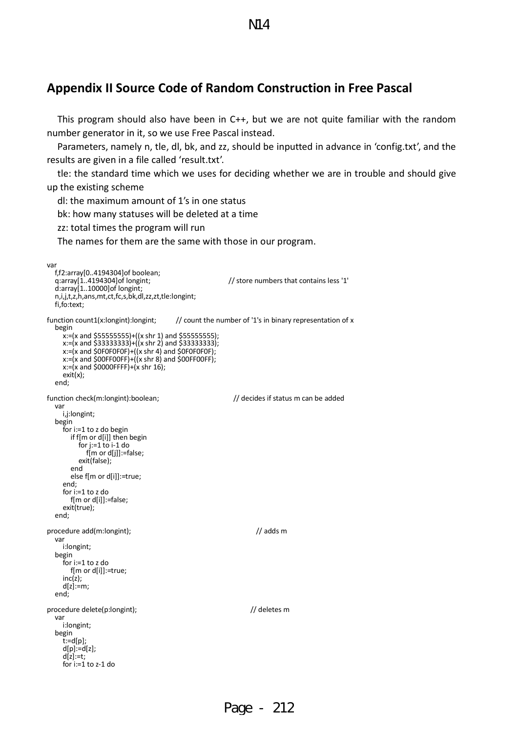## <span id="page-28-0"></span>**Appendix II Source Code of Random Construction in Free Pascal**

 This program should also have been in C++, but we are not quite familiar with the random number generator in it, so we use Free Pascal instead.

N14

 Parameters, namely n, tle, dl, bk, and zz, should be inputted in advance in 'config.txt', and the results are given in a file called 'result.txt'.

tle: the standard time which we uses for deciding whether we are in trouble and should give up the existing scheme

dl: the maximum amount of 1's in one status

bk: how many statuses will be deleted at a time

zz: total times the program will run

The names for them are the same with those in our program.

```
var<br>f,f2:array[0..4194304]of boolean;
    q:array[1..4194304]of longint; \frac{1}{2} // store numbers that contains less '1' d:array[1..10000]of longint;
    n,i,j,t,z,h,ans,mt,ct,fc,s,bk,dl,zz,zt,tle:longint;
     fi,fo:text;
function count1(x:longint):longint; // count the number of '1's in binary representation of x<br>begin<br>x:=(x and $55555555)+((x shr 1) and $555555555);<br>x:=(x and $33333333)+((x shr 2) and $333333333);<br>x:=(x and $0F0F0F0F)+((
        x:= (x \text{ and } $0000FFFF)+ (x \text{ shr } 16);<br>exit(x);
     end;
function check(m:longint):boolean; <br>
var<br>
var i,j:longint; <br>
begin<br>
for i:=1 to z do begin<br>
if f[m or d[i]] then begin<br>
for j:=1 to i-1 do f[m or d[j]]:=false;
        exit(false);<br>
end<br>
else f[m or d[i]]:=true;<br>
end;<br>
for i:=1 to z do<br>
f[m or d[i]]:=false;
    exit(true);<br>end;
procedure add(m:longint); \frac{1}{2} adds m
     var i:longint;
     begin for i:=1 to z do
    f[m or d[i]]:=true;<br>inc(z);<br>d[z]:=m;<br>end:
procedure delete(p:longint); <br>
var<br>
var i:longint; <br>
begin<br>
t:=d[p];<br>
d[p]:=d[z];<br>
d[p]:=d[z];<br>
d[z]:=t; for i:=1 to z-1 do
```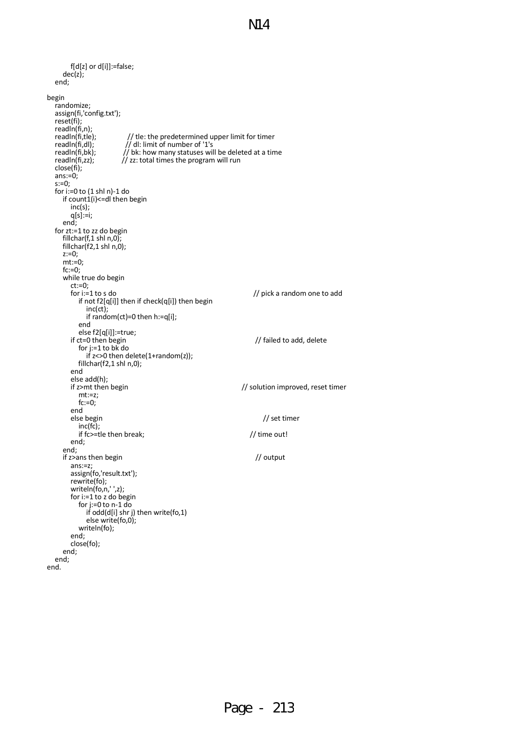```
 f[d[z] or d[i]]:=false;
   dec(z);<br>end;
begin<br>randomize;
   assign(fi,'config.txt');<br>reset(fi);<br>readln(fi,n);<br>readln(fi,tle);<br>readln(fi,dl);
   readln(fi,tle); // tle: the predetermined upper limit for timer<br>readln(fi,dl); // dl: limit of number of '1's<br>readln(fi,bk); // bk: how many statuses will be deleted at a tin
   readln(fi,bk); // bk: how many statuses will be deleted at a time<br>readln(fi,zz); // zz: total times the program will run<br>close(fi);<br>sins:=0;<br>for i:=0 to (1 shl n)-1 do
       if count1(i) <= dl then begin inc(s);
       q[s]:=i;<br>end;
   for zt:=1 to zz do begin<br>fillchar(f,1 shl n,0);
       fillchar(f2,1 shl n,0);<br>z:=0;<br>mt:=0;<br>fc:=0;<br>while true do begin
           ct:=0;<br>
for i:=1 to s do<br>
if not f2[q[i]] then if check(q[i]) then begin<br>
inc(ct);<br>
if random(ct)=0 then h:=q[i];<br>
end
end<br>else f2[q[i]]:=true;<br>if ct=0 then begin if ct=0 then begin<br>for j:=1 to bk do
           if z < 0 then delete(1+random(z));<br>fillchar(f2,1 shl n,0);<br>end
           else add(h);<br>if z>mt then begin
               z \gemt then begin \ge \gemt then begin \ge \gemt:=z;
           fc:=0;<br>end<br>else begin
 else begin // set timer inc(fc);
       if fc>=tle then break; // time out!<br>
end;<br>
end;
 end; if z>ans then begin // output ans:=z; assign(fo,'result.txt');
           rewrite(fo);<br>rewrite(fo);<br>writeln(fo,n,' ',z);<br>for i:=1 to z do begin
            for j:=0 to n-1 do<br>if odd(d[i] shr j) then write(fo,1)<br>else write(fo,0);<br>writeln(fo);<br>end;
        close(fo); end;
    end;
end.
```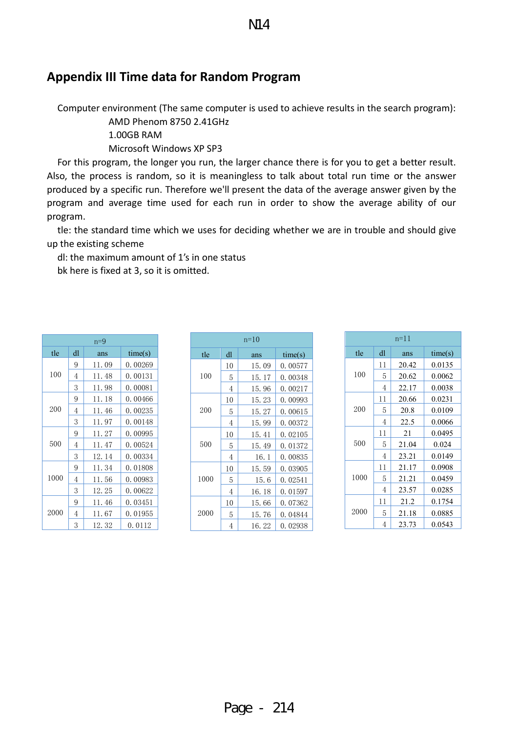## <span id="page-30-0"></span>**Appendix III Time data for Random Program**

Computer environment (The same computer is used to achieve results in the search program):

AMD Phenom 8750 2.41GHz

1.00GB RAM

Microsoft Windows XP SP3

 For this program, the longer you run, the larger chance there is for you to get a better result. Also, the process is random, so it is meaningless to talk about total run time or the answer produced by a specific run. Therefore we'll present the data of the average answer given by the program and average time used for each run in order to show the average ability of our program.

tle: the standard time which we uses for deciding whether we are in trouble and should give up the existing scheme

 dl: the maximum amount of 1's in one status bk here is fixed at 3, so it is omitted.

|      | $n=9$ |        |         |  |  |  |  |  |  |  |  |
|------|-------|--------|---------|--|--|--|--|--|--|--|--|
| tle  | dl    | ans    | time(s) |  |  |  |  |  |  |  |  |
|      | 9     | 11.09  | 0.00269 |  |  |  |  |  |  |  |  |
| 100  | 4     | 11.48  | 0.00131 |  |  |  |  |  |  |  |  |
|      | 3     | 11.98  | 0.00081 |  |  |  |  |  |  |  |  |
|      | 9     | 11. 18 | 0.00466 |  |  |  |  |  |  |  |  |
| 200  | 4     | 11.46  | 0.00235 |  |  |  |  |  |  |  |  |
|      | 3     | 11.97  | 0.00148 |  |  |  |  |  |  |  |  |
|      | 9     | 11. 27 | 0.00995 |  |  |  |  |  |  |  |  |
| 500  | 4     | 11.47  | 0.00524 |  |  |  |  |  |  |  |  |
|      | 3     | 12.14  | 0.00334 |  |  |  |  |  |  |  |  |
|      | 9     | 11.34  | 0.01808 |  |  |  |  |  |  |  |  |
| 1000 | 4     | 11.56  | 0.00983 |  |  |  |  |  |  |  |  |
|      | 3     | 12.25  | 0.00622 |  |  |  |  |  |  |  |  |
|      | 9     | 11.46  | 0.03451 |  |  |  |  |  |  |  |  |
| 2000 | 4     | 11.67  | 0.01955 |  |  |  |  |  |  |  |  |
|      | 3     | 12.32  | 0.0112  |  |  |  |  |  |  |  |  |

| $n=10$       |    |       |         |
|--------------|----|-------|---------|
| tle          | dl | ans   | time(s) |
|              | 10 | 15.09 | 0.00577 |
| 100          | 5  | 15.17 | 0.00348 |
|              | 4  | 15.96 | 0.00217 |
|              | 10 | 15.23 | 0.00993 |
| 200          | 5  | 15.27 | 0.00615 |
|              | 4  | 15.99 | 0.00372 |
|              | 10 | 15.41 | 0.02105 |
| 500          | 5  | 15.49 | 0.01372 |
|              | 4  | 16.1  | 0.00835 |
|              | 10 | 15.59 | 0.03905 |
| 1000<br>2000 | 5  | 15.6  | 0.02541 |
|              | 4  | 16.18 | 0.01597 |
|              | 10 | 15.66 | 0.07362 |
|              | 5  | 15.76 | 0.04844 |
|              | 4  | 16.22 | 0.02938 |

| $n=11$ |    |       |         |
|--------|----|-------|---------|
| tle    | dl | ans   | time(s) |
|        | 11 | 20.42 | 0.0135  |
| 100    | 5  | 20.62 | 0.0062  |
|        | 4  | 22.17 | 0.0038  |
|        | 11 | 20.66 | 0.0231  |
| 200    | 5  | 20.8  | 0.0109  |
|        | 4  | 22.5  | 0.0066  |
|        | 11 | 21    | 0.0495  |
| 500    | 5  | 21.04 | 0.024   |
|        | 4  | 23.21 | 0.0149  |
|        | 11 | 21.17 | 0.0908  |
| 1000   | 5  | 21.21 | 0.0459  |
|        | 4  | 23.57 | 0.0285  |
| 2000   | 11 | 21.2  | 0.1754  |
|        | 5  | 21.18 | 0.0885  |
|        | 4  | 23.73 | 0.0543  |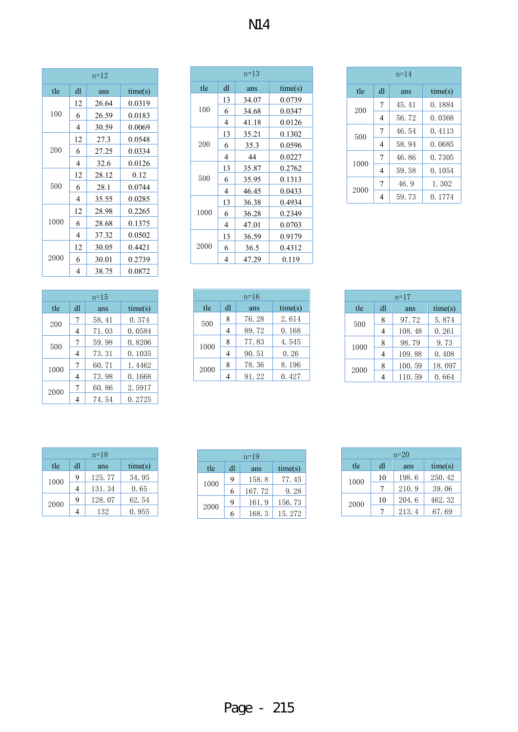| $n=12$ |    |       |         |
|--------|----|-------|---------|
| tle    | dl | ans   | time(s) |
|        | 12 | 26.64 | 0.0319  |
| 100    | 6  | 26.59 | 0.0183  |
|        | 4  | 30.59 | 0.0069  |
|        | 12 | 27.3  | 0.0548  |
| 200    | 6  | 27.25 | 0.0334  |
|        | 4  | 32.6  | 0.0126  |
|        | 12 | 28.12 | 0.12    |
| 500    | 6  | 28.1  | 0.0744  |
|        | 4  | 35.55 | 0.0285  |
|        | 12 | 28.98 | 0.2265  |
| 1000   | 6  | 28.68 | 0.1375  |
|        | 4  | 37.32 | 0.0502  |
| 2000   | 12 | 30.05 | 0.4421  |
|        | 6  | 30.01 | 0.2739  |
|        | 4  | 38.75 | 0.0872  |

| $n = 15$ |    |       |         |
|----------|----|-------|---------|
| tle      | dl | ans   | time(s) |
| 200      | 7  | 58.41 | 0.374   |
|          | 4  | 71.03 | 0.0584  |
| 500      | 7  | 59.98 | 0.8206  |
|          | 4  | 73.31 | 0.1035  |
| 1000     | 7  | 60.71 | 1.4462  |
|          | 4  | 73.98 | 0.1668  |
| 2000     | 7  | 60.86 | 2.5917  |
|          |    | 74.54 | 0.2725  |

| $n=13$ |    |       |         |
|--------|----|-------|---------|
| tle    | dl | ans   | time(s) |
|        | 13 | 34.07 | 0.0739  |
| 100    | 6  | 34.68 | 0.0347  |
|        | 4  | 41.18 | 0.0126  |
|        | 13 | 35.21 | 0.1302  |
| 200    | 6  | 35.3  | 0.0596  |
|        | 4  | 44    | 0.0227  |
|        | 13 | 35.87 | 0.2762  |
| 500    | 6  | 35.95 | 0.1313  |
|        | 4  | 46.45 | 0.0433  |
|        | 13 | 36.38 | 0.4934  |
| 1000   | 6  | 36.28 | 0.2349  |
|        | 4  | 47.01 | 0.0703  |
|        | 13 | 36.59 | 0.9179  |
| 2000   | 6  | 36.5  | 0.4312  |
|        | 4  | 47.29 | 0.119   |

| $n=16$ |    |       |         |
|--------|----|-------|---------|
| tle    | dl | ans   | time(s) |
| 500    | 8  | 76.28 | 2.614   |
|        |    | 89.72 | 0.168   |
| 1000   | 8  | 77.83 | 4.545   |
|        | 4  | 90.51 | 0.26    |
| 2000   | 8  | 78.36 | 8.196   |
|        |    | 91.22 | 0.427   |

|      | $n = 14$       |       |         |  |
|------|----------------|-------|---------|--|
| tle  | dl             | ans   | time(s) |  |
| 200  | 7              | 45.41 | 0.1884  |  |
|      | 4              | 56.72 | 0.0368  |  |
| 500  | 7              | 46.54 | 0.4113  |  |
|      | 4              | 58.94 | 0.0685  |  |
| 1000 | $\overline{7}$ | 46.86 | 0.7305  |  |
|      | 4              | 59.58 | 0.1054  |  |
| 2000 | 7              | 46.9  | 1.302   |  |
|      | 4              | 59.73 | 0.1774  |  |

| $n=17$ |                |        |         |
|--------|----------------|--------|---------|
| tle    | dl             | ans    | time(s) |
| 500    | 8              | 97.72  | 5.874   |
|        | $\overline{4}$ | 108.48 | 0.261   |
| 1000   | 8              | 98.79  | 9.73    |
|        | $\overline{4}$ | 109.88 | 0.408   |
| 2000   | 8              | 100.59 | 18.097  |
|        |                | 110.59 | 0.664   |

| $n=18$ |    |        |         |
|--------|----|--------|---------|
| tle    | dl | ans    | time(s) |
| 1000   | 9  | 125.77 | 34.95   |
|        |    | 131.34 | 0.65    |
| 2000   | 9  | 128.07 | 62.54   |
|        |    | 132    | 0.955   |

| $n = 19$ |    |        |         |
|----------|----|--------|---------|
| tle      | dl | ans    | time(s) |
| 1000     | 9  | 158.8  | 77.45   |
|          | 6  | 167.72 | 9.28    |
| 2000     | 9  | 161.9  | 156.73  |
|          | 6  | 168.3  | 15.272  |

| $n=20$ |    |       |         |
|--------|----|-------|---------|
| tle    | dl | ans   | time(s) |
| 1000   | 10 | 198.6 | 250.42  |
|        |    | 210.9 | 39.06   |
| 2000   | 10 | 204.6 | 462.32  |
|        |    | 213.4 | 67.69   |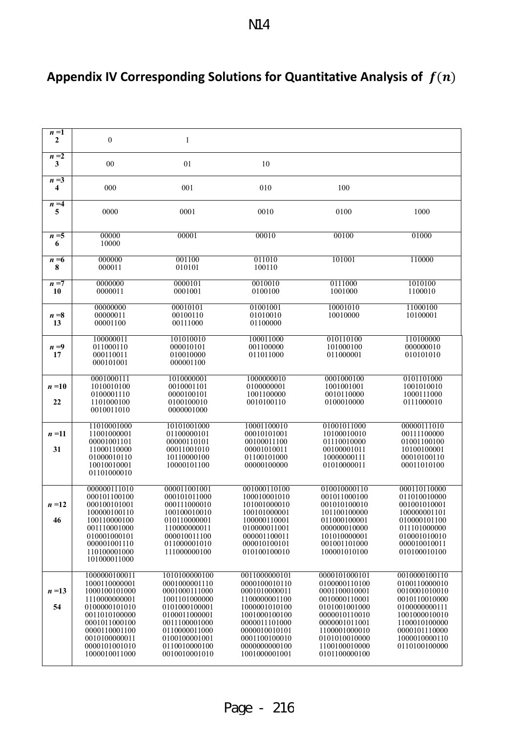<span id="page-32-0"></span>

| Appendix IV Corresponding Solutions for Quantitative Analysis of $f(n)$ |  |
|-------------------------------------------------------------------------|--|
|-------------------------------------------------------------------------|--|

| $n=1$<br>$\mathbf{2}$ | $\boldsymbol{0}$               | $\mathbf{1}$                   |                                |                                |                                |
|-----------------------|--------------------------------|--------------------------------|--------------------------------|--------------------------------|--------------------------------|
| $n=2$                 |                                |                                |                                |                                |                                |
| 3                     | 00                             | 01                             | 10                             |                                |                                |
| $n = \sqrt{3}$<br>4   | 000                            | 001                            | 010                            | 100                            |                                |
| $n=4$<br>5            | 0000                           | 0001                           | 0010                           | 0100                           | 1000                           |
|                       |                                |                                |                                |                                |                                |
| $n = 5$<br>6          | 00000<br>10000                 | 00001                          | 00010                          | 00100                          | 01000                          |
| $n = 6$               | 000000                         | 001100                         | 011010                         | 101001                         | 110000                         |
| 8                     | 000011                         | 010101                         | 100110                         |                                |                                |
| $n = 7$<br>10         | 0000000<br>0000011             | 0000101<br>0001001             | 0010010<br>0100100             | 0111000<br>1001000             | 1010100<br>1100010             |
|                       | 00000000                       | 00010101                       | 01001001                       | 10001010                       | 11000100                       |
| $n = 8$               | 00000011                       | 00100110                       | 01010010                       | 10010000                       | 10100001                       |
| 13                    | 00001100                       | 00111000                       | 01100000                       |                                |                                |
|                       | 100000011                      | 101010010                      | 100011000                      | 010110100                      | 110100000                      |
| $n=9$<br>17           | 011000110<br>000110011         | 000010101<br>010010000         | 001100000<br>011011000         | 101000100<br>011000001         | 000000010<br>010101010         |
|                       | 000101001                      | 000001100                      |                                |                                |                                |
|                       | 0001000111                     | 1010000001                     | 1000000010                     | 0001000100                     | 0101101000                     |
| $n=10$                | 1010010100<br>0100001110       | 0010001101<br>0000100101       | 0100000001<br>1001100000       | 1001001001<br>0010110000       | 1001010010<br>1000111000       |
| 22                    | 1101000100                     | 0100100010                     | 0010100110                     | 0100010000                     | 0111000010                     |
|                       | 0010011010                     | 0000001000                     |                                |                                |                                |
| $n=11$                | 11010001000<br>11001000001     | 10101001000<br>01100000101     | 10001100010<br>00010101001     | 01001011000<br>10100010010     | 00000111010<br>00111100000     |
|                       | 00001001101                    | 00000110101                    | 00100011100                    | 01110010000                    | 01001100100                    |
| 31                    | 11000110000<br>01000010110     | 00011001010<br>10110000100     | 00001010011<br>01100101000     | 00100001011<br>10000000111     | 10100100001<br>00010100110     |
|                       | 10010010001                    | 10000101100                    | 00000100000                    | 01010000011                    | 00011010100                    |
|                       | 01101000010                    |                                |                                |                                |                                |
|                       | 000000111010<br>000101100100   | 000011001001<br>000101011000   | 001000110100<br>100010001010   | 010010000110<br>001011000100   | 000110110000<br>011010010000   |
| $n=12$                | 000100101001                   | 000111000010                   | 101001000010                   | 001010100010                   | 001001010001                   |
| 46                    | 100000100110<br>100110000100   | 100100010010<br>010110000001   | 100101000001<br>100000110001   | 101100100000<br>011000100001   | 100000001101<br>010000101100   |
|                       | 001110001000                   | 110000000011                   | 010000011001                   | 000000010000                   | 011101000000                   |
|                       | 010001000101<br>000001001110   | 000010011100<br>011000001010   | 000001100011<br>000010100101   | 101010000001<br>001001101000   | 010001010010<br>000010010011   |
|                       | 110100001000<br>101000011000   | 111000000100                   | 010100100010                   | 100001010100                   | 010100010100                   |
|                       |                                |                                |                                |                                |                                |
|                       | 1000000100011<br>1000110000001 | 1010100000100<br>0001000001110 | 0011000000101<br>0000100010110 | 0000101000101<br>0100000110100 | 0010000100110<br>0100110000010 |
| $n=13$                | 1000100101000                  | 0001000111000                  | 0001010000011                  | 0001100010001                  | 0010001010010                  |
| 54                    | 1110000000001<br>0100000101010 | 1001101000000<br>0101000100001 | 1100000001100<br>1000001010100 | 0010000110001<br>0101001001000 | 0010110010000<br>0100000000111 |
|                       | 0011010100000<br>0001011000100 | 0100011000001<br>0011100001000 | 1001000100100<br>0000011101000 | 0000010110010<br>0000001011001 | 1001000010010<br>1100010100000 |
|                       | 0000110001100                  | 0110000011000                  | 0000010010101                  | 1100001000010                  | 0000101110000                  |
|                       | 0010100000011<br>0000101001010 | 0100100001001<br>0110010000100 | 0001100100010<br>0000000000100 | 0101010010000<br>1100100010000 | 1000010000110<br>0110100100000 |
|                       | 1000010011000                  | 0010010001010                  | 1001000001001                  | 0101100000100                  |                                |
|                       |                                |                                |                                |                                |                                |

Page - 216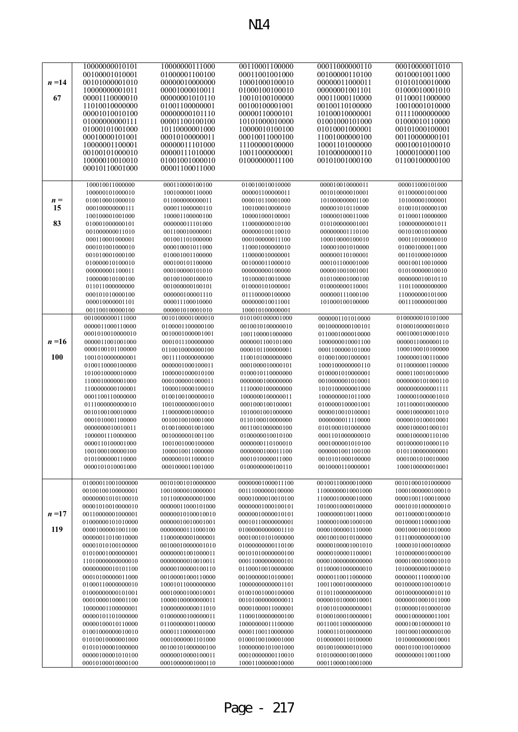|            | 10000000010101    | 10000000111000    | 00110001100000    | 00011000000110    | 00010000011010    |
|------------|-------------------|-------------------|-------------------|-------------------|-------------------|
|            | 00100001010001    | 01000001100100    | 00011001001000    | 00100000110100    | 00100010011000    |
| $n = 14$   | 00101000001010    | 00000010000000    | 10001000100010    | 00000011000011    | 01010100010000    |
|            | 10000000001011    | 00001000010011    | 01000100100010    | 00000001001101    | 01000010001010    |
| 67         | 00001110000010    | 00000001010110    | 10010100100000    | 00011000110000    | 01100011000000    |
|            | 11010010000000    | 01001100000001    | 00100100001001    | 00100110100000    | 10010001010000    |
|            | 00001010010100    | 00000000101110    | 00000110000101    | 10100010000001    | 01111000000000    |
|            | 01000000000111    | 00001100100100    | 10101000010000    | 01001000101000    | 01000010110000    |
|            | 01000101001000    | 10110000001000    | 10000010100100    | 01010001000001    | 00101000100001    |
|            | 00010000101001    | 00010100000011    | 00010011000100    | 11001000000100    | 00110000000101    |
|            | 10000001100001    | 00000011101000    | 11100000100000    | 10001101000000    | 00010010100010    |
|            | 00100101000010    | 00000111010000    | 10011000000001    | 10100000000110    | 10000100001100    |
|            | 10000010010010    | 01001001000010    | 01000000011100    | 00101001000100    | 01100100000100    |
|            | 00010110001000    | 00001100011000    |                   |                   |                   |
|            |                   |                   |                   |                   |                   |
|            |                   |                   |                   |                   |                   |
|            | 100010011000000   | 000110000100100   | 010010010010000   | 000010010000011   | 000011000101000   |
|            | 100000101000010   | 100100000110000   | 000001100000011   | 001010000010001   | 011000001001000   |
| $n =$      | 010010001000010   | 011000000000011   | 000010110001000   | 101000000001100   | 101000001000001   |
| 15         | 000100000000111   | 000011000000110   | 100100010000010   | 000001010110000   | 010010100000100   |
|            | 100100001001000   | 100001100000100   | 100001000100001   | 100000100011000   | 011000110000000   |
| 83         | 010001000000101   | 000000011101000   | 110000000010100   | 010100000001001   | 100000000001011   |
|            | 001000000011010   | 001100010000001   | 000000100110010   | 000000001110100   | 001010010100000   |
|            | 000110001000001   | 001001101000000   | 000100000011100   | 100010000100010   | 000110100000010   |
|            | 000101001000010   | 000010001011000   | 110001000000010   | 100001001010000   | 010001000011000   |
|            | 001010001000100   | 010001001100000   | 110000010000001   | 000000110100001   | 001101000010000   |
|            | 010000010100010   | 000100101100000   | 001000011000010   | 000101100001000   | 000100110010000   |
|            | 000000001100011   | 000100000101010   | 000000000100000   | 000001001001001   | 010100000010010   |
|            | 100000010100100   | 001001000100010   | 101000010010000   | 010100001000100   | 000000010010110   |
|            | 011011000000000   | 001000000100101   | 010000101000001   | 010000000110001   | 110110000000000   |
|            | 000101010000100   | 000000100001110   | 011100000100000   | 000000111000100   | 110000000101000   |
|            | 000010000001101   | 000011100010000   | 000000010011001   | 101000100100000   | 001110000001000   |
|            | 001100100000100   | 000001010001010   | 100010100000001   |                   |                   |
|            | 0010000000111000  | 0010100001000010  | 0101001000001000  | 0000001101010000  | 0100000010101000  |
|            | 0000011000110000  | 0100001100000100  | 0010010100000010  | 0010000000100101  | 0100010000010010  |
|            | 0001010010000010  | 0010001000001001  | 1001100001000000  | 0110001000010000  | 0001000100001010  |
| $n=16$     | 0000011001001000  | 0001011100000000  | 0000001100101000  | 1000000010001100  | 0000011000000110  |
|            | 0000100101100000  | 0110010000000100  | 0000101100000001  | 0001100000101000  | 1000100010100000  |
| <b>100</b> | 1001010000000001  | 0011110000000000  | 1100101000000000  | 0100010001000001  | 1000000100110000  |
|            | 0100110000100000  | 0000001000100011  | 0001000010000101  | 1000100000000110  | 0110000001100000  |
|            | 1010010000010000  | 1000001000010100  | 0100010110000000  | 0100001010000001  | 0000110010010000  |
|            | 1100010000001000  | 0001000001000011  | 0000000100000000  | 0010000001010001  | 0000000101000110  |
|            | 1100000000100001  | 1000010000100010  | 1110000100000000  | 1010100000001000  | 0000000000001111  |
|            | 0001100110000000  | 0100100100000010  | 1000000100000011  | 1000000001011000  | 1000001000001010  |
|            | 0111000000000010  | 1001000000010010  | 0001000100100001  | 0100000100001001  | 1011000010000000  |
|            | 0010100100010000  | 1100000001000010  | 1010001001000000  | 0000010010100001  | 0000100000011010  |
|            | 0001010001100000  | 0010010010001000  | 0110100010000000  | 0000000011110000  | 0000010100010001  |
|            | 0000000010010011  | 0100100001001000  | 0011001000000100  | 0101000101000000  | 0000100001000101  |
|            | 1000001110000000  | 0010000001001100  | 0100000010010100  | 0001101000000010  | 0000100000110100  |
|            | 0000110100001000  | 1001001000100000  | 0000000110100010  | 0001000001010100  | 0010000010000110  |
|            | 1001000100000100  | 1000010011000000  | 0000000100011100  | 0000001001100100  | 0101100000000001  |
|            | 0101000000110000  | 0000001011000010  | 0001010000011000  | 0010101000100000  | 0001001010010000  |
|            | 0000101010001000  | 0001000011001000  | 0100000000100110  | 0010000110000001  | 1000100000010001  |
|            |                   |                   |                   |                   |                   |
|            | 01000011001000000 | 00101001010000000 | 00000001000011100 | 00100110000010000 | 00101000101000000 |
|            | 00100100100000001 | 10010000010000001 | 00111000000100000 | 11000000010001000 | 10001000000100010 |
|            | 00000001010100010 | 10110000000001000 | 00001000010010100 | 11000010000010000 | 00001001100010000 |
|            | 00001010010000010 | 00000011000101000 | 00000001000100101 | 10100010000100000 | 00010101000000010 |
| $n = 17$   | 00110000001000001 | 00000010100010010 | 00000010000010101 | 10000000100110000 | 00110000010000010 |
|            | 01000000101010000 | 00000010010001001 | 00010110000000001 | 10000010001000100 | 00100001100001000 |
| 119        | 00001000001001100 | 00000000111000100 | 01000000000001110 | 00001000001110000 | 00010001001010000 |
|            | 00000011010010000 | 11000000001000001 | 00010010101000000 | 00010010010100000 | 01110000000000100 |
|            | 00001010100100000 | 00100010000001010 | 01000000000110100 | 00000100001001010 | 10000101000100000 |
|            | 01010001000000001 | 00000001001000011 | 00101010000000100 | 00000100001100001 | 10100000010000100 |
|            | 11010000000000010 | 00000000010010011 | 00011000000000101 | 00001000000000000 | 00001000100001010 |
|            | 00000000010101100 | 00000100000100110 | 01100010010000000 | 01100001000000010 | 10100000001000010 |
|            | 00010100000011000 | 00100001000110000 | 00100000010100001 | 00000110011000000 | 00000011100000100 |
|            | 01000110000000010 | 10001011000000000 | 10000000000001101 | 10011000100000000 | 00100000100100010 |
|            | 01000000000101001 | 00010000100010001 | 01001001000100000 | 01101100000000000 | 00100000000010110 |
|            | 00010000100001100 | 10000100000000011 | 00101000000000011 | 00000101000010001 | 00000010001011000 |
|            | 10000001100000001 | 10000000000011010 | 00001000011000001 | 01001010000000001 | 01000001010000100 |
|            | 00000101101000000 | 01000000100000011 | 11000100000000100 | 01000100010000001 | 00001000000011001 |
|            | 00000100010110000 | 01100000001100000 | 10000000011100000 | 00110011000000000 | 00001001000000110 |
|            | 01001000000010010 | 00001110000001000 | 00001100110000000 | 10000110100000000 | 10010001000000100 |
|            | 01010010000001000 | 00010000001101000 | 01000100100001000 | 01000000110100000 | 10100000000010001 |
|            | 01010100001000000 | 00100101000000100 | 10000000101001000 | 00100100000101000 | 00010100100100000 |
|            | 00000100001010100 | 00000010000100011 | 00010000000110010 | 01010000010010000 | 00000000110011000 |
|            | 00010100010000100 | 00010000001000110 | 10001100000010000 | 00011000010001000 |                   |

N14

Page - 217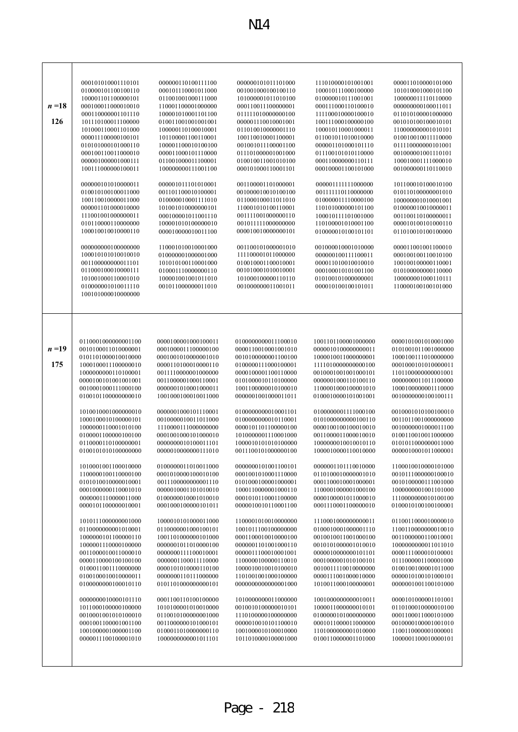|          | 000101010001110101  | 000000110100111100  | 000000101011101000  | 111010000101001001  | 000011010000101000  |
|----------|---------------------|---------------------|---------------------|---------------------|---------------------|
|          | 010000101100100110  | 000101110001011000  | 001001000100100110  | 100010111000100000  | 101010001000101100  |
|          | 100001101100000101  | 011001001000111000  | 101000001011010100  | 010000010111001001  | 100000011110110000  |
| $n=18$   | 000100011000010010  | 110001100001000000  | 000110011100000001  | 000111000110100010  | 000000000100011011  |
|          |                     |                     |                     |                     | 011010100001000000  |
|          | 000110000001101110  | 100001010001101100  | 011111010000000100  | 111100010000100010  |                     |
| 126      | 101110100011100000  | 010011001001001001  | 000001110010001001  | 100111000100000100  | 001010100100010101  |
|          | 101000110001101000  | 100000110100010001  | 011010010000001110  | 100010110001000011  | 110000000001010101  |
|          | 000011100000100101  | 101100001100110001  | 100110010001100001  | 011001011010010000  | 010010010011110000  |
|          | 010101000101000110  | 100001100010100100  | 001001011100001100  | 000001101000101110  | 011110000000101001  |
|          | 000100110011000010  | 000011000101110000  | 011101000001001000  | 011100101010110000  | 001000001001110101  |
|          | 000001000001000111  | 011001000011100001  | 010010011001010100  | 000110000000110111  | 100010001111000010  |
|          | 100111000000100011  | 100000000111001100  | 000101000110001101  | 000100001100101000  | 001000000110110010  |
|          |                     |                     |                     |                     |                     |
|          | 000000101010000011  | 000001011101010001  | 001100001101000001  | 000001111111000000  | 101100010100010100  |
|          | 010010100100011000  | 001101100010100001  | 001000010010100100  | 001111110110000000  | 010110100000001010  |
|          |                     |                     |                     |                     |                     |
|          | 100110010000011000  | 010000010001111010  | 011000100011011010  | 010000011110000100  | 100000001010001001  |
|          | 000001101000010000  | 101001010000000101  | 110001010100110001  | 110101000000101100  | 010000010010000011  |
|          | 111001001000000011  | 000100001011001110  | 001111001000000110  | 100010111101001000  | 001100110100000011  |
|          | 010110000110000000  | 100001010100000010  | 001011111000000000  | 110100001010001100  | 000010100101000110  |
|          | 100010010010000110  | 000010000010011100  | 000010010000000101  | 010000010100101101  | 011010010100100000  |
|          |                     |                     |                     |                     |                     |
|          | 000000000100000000  | 110001010010001000  | 001100101000001010  | 001000010001010000  | 000011001001100010  |
|          | 100010101010010010  | 010000001000001000  | 111100001011000000  | 000000100111100011  | 000100100110010100  |
|          | 001100000000011101  | 101010100110001000  | 010010001100010001  | 000011010010010010  | 100100100000110001  |
|          | 011000100010000111  | 010001110000000110  | 001010001010010001  | 000100010101001100  | 010100000000110000  |
|          |                     |                     |                     |                     |                     |
|          | 101001000110001010  | 100001001001011010  | 101000100000110110  | 010100101000000001  | 100000001000110111  |
|          | 010000001010011110  | 001011000000011010  | 001000000011001011  | 000010100100101011  | 110000100100101000  |
|          | 100101000010000000  |                     |                     |                     |                     |
|          |                     |                     |                     |                     |                     |
|          |                     |                     |                     |                     |                     |
|          |                     |                     |                     |                     |                     |
|          |                     |                     |                     |                     |                     |
|          |                     |                     |                     |                     |                     |
|          | 0110001000000001100 | 0000100001000100011 | 0100000000011100010 | 1001101100001000000 | 0000101001010001000 |
| $n = 19$ | 0010100011010000001 | 0001000011100000100 | 0000110010001001010 | 0000010100000000011 | 0101001011001000000 |
|          | 0101101000010010000 | 0001001010000001010 | 0010100000001100100 | 1000010011000000001 | 1000100111010000000 |
| 175      | 1000100011100000010 | 0000110100010000110 | 0100000111000100001 | 1111010000000000100 | 0001000101010000011 |
|          | 1000000000110100001 | 0011110000001000000 | 0000100001100110000 | 0010001001001000101 | 1101100000000001001 |
|          | 0000100101001001001 | 0011000001000110001 | 0101000010110100000 | 0000001000110100110 | 0000000011011100000 |
|          |                     |                     |                     |                     |                     |
|          | 0010001000111000100 | 0000001010001000011 | 1001100000010100010 | 1100001000100001010 | 1000100000001110000 |
|          | 0100101100000000010 | 1001000100010011000 | 0000001001000011011 | 0100010000101001001 | 0010000000100100111 |
|          |                     |                     |                     |                     |                     |
|          | 1010010001000000010 | 0000001000101110001 | 0100000000010001101 | 0100000001111000100 | 0010001010100100010 |
|          | 1000100010100000101 | 0010000010011011000 | 0100000000010110001 | 0101000000000100110 | 0011011001000000000 |
|          | 1000000110001010100 | 1110000111000000000 | 0000101101100000100 | 0000100100100010010 | 0010000001000011100 |
|          | 0100001100000100100 | 0001001000101000010 | 1010000001110001000 | 0011000011000010010 | 0100110010011000000 |
|          | 0110000110100000001 | 0000000010100011101 | 1000010101010100000 | 1000000010010010110 | 0101011000000011000 |
|          | 0100101010100000000 | 0000010000000111010 | 0011100101000000100 | 1000010000110010000 | 0000010001011000001 |
|          |                     |                     |                     |                     |                     |
|          | 1010001001100010000 | 0100000011010011000 | 0000000101001100101 | 0000001101110010000 | 1100010010000101000 |
|          | 1100000100110000100 | 0001010000100010100 | 0001001010001110000 | 0110100010000001010 | 0010111000000100010 |
|          | 0101010010000010001 | 0011100000000001110 | 0101000100001000001 | 0001100010001000001 | 0010100000111001000 |
|          | 0001000000110001010 | 0000010001101010010 | 1000110000001000110 | 1100001000001000100 | 1000000001001101000 |
|          |                     |                     |                     |                     |                     |
|          | 0000001110000011000 | 0100000010001010010 | 0001010110001100000 | 0000100001011000010 | 1110000000010100100 |
|          | 0000101100000010001 | 0001000100000101011 | 0000010010110001100 | 0001110001100000010 | 0100010100100100001 |
|          |                     |                     |                     |                     |                     |
|          | 1010111000000001000 | 1000010101000011000 | 1100001010010000000 | 1110001000000000011 | 0110011000010000010 |
|          | 0110000000001010001 | 0110000001000100101 | 1001011100100000000 | 0100010001000001110 | 1100110000000010010 |
|          | 1000000101100000110 | 1001101000000101000 | 0001100010010000100 | 0010010011001000100 | 0011000000110010001 |
|          | 1000001110000100000 | 0000001011010000100 | 0000001101001000110 | 0010101000001010010 | 1000000000011011010 |
|          | 0011000010011000010 | 0000000111100010001 | 0000011100010001001 | 0000010000000101101 | 0000111000010100001 |
|          | 0000110000100100100 | 0000001100011110000 | 1100000100000110010 | 0001000001010100101 | 0111000001100001000 |
|          | 0100011001110000000 | 0000101010000110100 | 1000010010010100010 | 0010011110010000000 | 0100100100001011000 |
|          | 0100100010010000011 | 0000000110111000000 | 1101001001000100000 | 0000111001000010000 | 0000010100101000101 |
|          |                     |                     |                     |                     |                     |
|          | 0100000000100010110 | 0101101000000000101 | 0000000000000001000 | 1010011000100000001 | 0000001001100101000 |
|          |                     |                     |                     |                     |                     |
|          | 0000000010000101110 | 0001100110100100000 | 1010000000011000000 | 1001000000000010011 | 0000101000001101001 |
|          | 1011000100000100000 | 1010100001010010000 | 0010010100000010101 | 1000011000000010101 | 0110100010000010100 |
|          | 0010001001010100010 | 0110010100000001000 | 1110100000100000000 | 0100000101000000000 | 0001100011000101000 |
|          | 0001001100001001100 | 0011000000101000101 | 0000010010101100010 | 0001011000011000000 | 0010000100001001010 |
|          | 1001000001000001100 | 0100011010000000110 | 1001000010100010000 | 1101000000001010000 | 1100110000001000001 |
|          | 0000011100100001010 | 1000000000001011101 | 1011010000100001000 | 0100110000001101000 | 1000001100010000101 |
|          |                     |                     |                     |                     |                     |